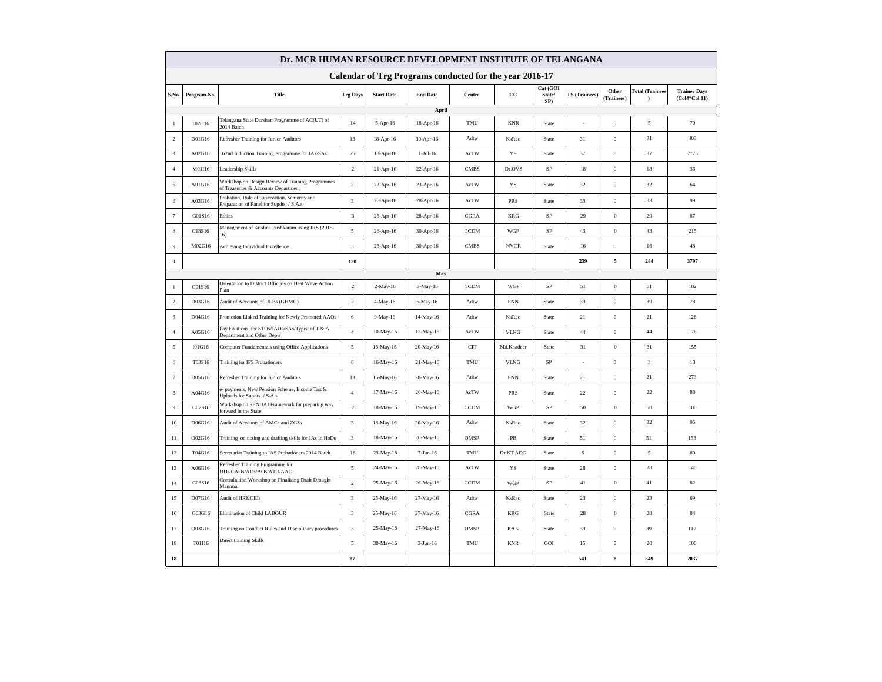| Dr. MCR HUMAN RESOURCE DEVELOPMENT INSTITUTE OF TELANGANA |                   |                                                                                           |                         |                   |                 |             |             |                           |                      |                     |                        |                                      |  |  |
|-----------------------------------------------------------|-------------------|-------------------------------------------------------------------------------------------|-------------------------|-------------------|-----------------|-------------|-------------|---------------------------|----------------------|---------------------|------------------------|--------------------------------------|--|--|
| Calendar of Trg Programs conducted for the year 2016-17   |                   |                                                                                           |                         |                   |                 |             |             |                           |                      |                     |                        |                                      |  |  |
|                                                           | S.No. Program.No. | Title                                                                                     | <b>Trg Days</b>         | <b>Start Date</b> | <b>End Date</b> | Centre      | $_{\rm cc}$ | Cat (GOI<br>State/<br>SP) | <b>TS</b> (Trainees) | Other<br>(Trainees) | <b>Total (Trainees</b> | <b>Trainee Days</b><br>(Col4*Col 11) |  |  |
|                                                           |                   |                                                                                           |                         |                   | April           |             |             |                           |                      |                     |                        |                                      |  |  |
| 1                                                         | T02G16            | Telangana State Darshan Programme of AC(UT) of<br>2014 Batch                              | 14                      | 5-Apr-16          | 18-Apr-16       | TMU         | <b>KNR</b>  | State                     | i,                   | $\sqrt{5}$          | $\sqrt{5}$             | 70                                   |  |  |
| $\overline{2}$                                            | D01G16            | Refresher Training for Junior Auditors                                                    | 13                      | 18-Apr-16         | 30-Apr-16       | Adtw        | KsRao       | State                     | 31                   | $\boldsymbol{0}$    | 31                     | 403                                  |  |  |
| 3                                                         | A02G16            | 162nd Induction Training Programme for JAs/SAs                                            | 75                      | 18-Apr-16         | $1-Jul-16$      | AcTW        | YS          | State                     | 37                   | $\boldsymbol{0}$    | 37                     | 2775                                 |  |  |
| $\overline{4}$                                            | M01I16            | Leadership Skills                                                                         | $\overline{c}$          | 21-Apr-16         | 22-Apr-16       | <b>CMBS</b> | Dr.OVS      | SP                        | 18                   | $\boldsymbol{0}$    | 18                     | 36                                   |  |  |
| 5                                                         | A01G16            | Workshop on Design Review of Training Programmes<br>of Treasuries & Accounts Department   | $\overline{2}$          | 22-Apr-16         | 23-Apr-16       | AcTW        | YS          | State                     | 32                   | $\mathbf{0}$        | 32                     | 64                                   |  |  |
| 6                                                         | A03G16            | Probation, Rule of Reservation, Seniority and<br>Preparation of Panel for Supdts. / S.A.s | $\overline{\mathbf{3}}$ | 26-Apr-16         | 28-Apr-16       | AcTW        | PRS         | State                     | 33                   | $\boldsymbol{0}$    | 33                     | 99                                   |  |  |
| $7\phantom{.0}$                                           | G01S16            | Ethics                                                                                    | $\mathbf{3}$            | 26-Apr-16         | 28-Apr-16       | <b>CGRA</b> | <b>KRG</b>  | SP                        | 29                   | $\boldsymbol{0}$    | 29                     | 87                                   |  |  |
| 8                                                         | C18S16            | Management of Krishna Pushkaram using IRS (2015-<br>16)                                   | 5                       | 26-Apr-16         | 30-Apr-16       | <b>CCDM</b> | WGP         | SP                        | 43                   | $\boldsymbol{0}$    | 43                     | 215                                  |  |  |
| $\overline{9}$                                            | M02G16            | Achieving Individual Excellence                                                           | $\overline{\mathbf{3}}$ | 28-Apr-16         | 30-Apr-16       | <b>CMBS</b> | <b>NVCR</b> | State                     | $16\,$               | $\boldsymbol{0}$    | $16$                   | $48\,$                               |  |  |
| $\overline{9}$                                            |                   |                                                                                           | 120                     |                   |                 |             |             |                           | 239                  | 5                   | 244                    | 3797                                 |  |  |
|                                                           |                   |                                                                                           |                         |                   | May             |             |             |                           |                      |                     |                        |                                      |  |  |
| $\mathbf{1}$                                              | C01S16            | Orientation to District Officials on Heat Wave Action<br>Plan                             | $\sqrt{2}$              | $2-May-16$        | 3-May-16        | <b>CCDM</b> | <b>WGP</b>  | SP                        | 51                   | $\boldsymbol{0}$    | 51                     | 102                                  |  |  |
| $\overline{2}$                                            | D03G16            | Audit of Accounts of ULBs (GHMC)                                                          | $\overline{2}$          | 4-May-16          | 5-May-16        | Adtw        | <b>ENN</b>  | State                     | 39                   | $\boldsymbol{0}$    | 39                     | $78\,$                               |  |  |
| $\sqrt{3}$                                                | D04G16            | Promotion Linked Training for Newly Promoted AAOs                                         | $\,$ 6 $\,$             | 9-May-16          | 14-May-16       | Adtw        | KsRao       | State                     | $21\,$               | $\boldsymbol{0}$    | $21\,$                 | 126                                  |  |  |
| $\overline{4}$                                            | A05G16            | Pay Fixations for STOs/JAOs/SAs/Typist of T & A<br>Department and Other Depts             | $\overline{4}$          | 10-May-16         | 13-May-16       | AcTW        | <b>VLNG</b> | <b>State</b>              | 44                   | $\mathbf{0}$        | 44                     | 176                                  |  |  |
| 5                                                         | I01G16            | Computer Fundamentals using Office Applications                                           | 5                       | 16-May-16         | 20-May-16       | <b>CIT</b>  | Md.Khadeer  | State                     | 31                   | $\boldsymbol{0}$    | 31                     | 155                                  |  |  |
| 6                                                         | T03S16            | <b>Training for IFS Probationers</b>                                                      | 6                       | 16-May-16         | 21-May-16       | TMU         | <b>VLNG</b> | $\rm SP$                  | $\sim$               | 3                   | 3                      | $18\,$                               |  |  |
| $7\phantom{.0}$                                           | D05G16            | Refresher Training for Junior Auditors                                                    | 13                      | 16-May-16         | 28-May-16       | Adtw        | <b>ENN</b>  | State                     | 21                   | $\boldsymbol{0}$    | 21                     | 273                                  |  |  |
| $\,$ 8 $\,$                                               | A04G16            | - payments, New Pension Scheme, Income Tax &<br>Jploads for Supdts. / S.A.s               | $\overline{4}$          | 17-May-16         | 20-May-16       | AcTW        | <b>PRS</b>  | State                     | $22\,$               | $\boldsymbol{0}$    | 22                     | 88                                   |  |  |
| $\overline{9}$                                            | C02S16            | Workshop on SENDAI Framework for preparing way<br>forward in the State                    | $\sqrt{2}$              | 18-May-16         | 19-May-16       | <b>CCDM</b> | WGP         | $\rm SP$                  | 50                   | $\boldsymbol{0}$    | 50                     | 100                                  |  |  |
| $10\,$                                                    | D06G16            | Audit of Accounts of AMCs and ZGSs                                                        | $\overline{\mathbf{3}}$ | 18-May-16         | 20-May-16       | Adtw        | KsRao       | State                     | $32\,$               | $\boldsymbol{0}$    | 32                     | 96                                   |  |  |
| 11                                                        | O02G16            | Training on noting and drafting skills for JAs in HoDs                                    | $\overline{\mathbf{3}}$ | 18-May-16         | 20-May-16       | OMSP        | PB          | State                     | 51                   | $\mathbf{0}$        | 51                     | 153                                  |  |  |
| 12                                                        | T04G16            | Secretariat Training to IAS Probationers 2014 Batch                                       | 16                      | 23-May-16         | 7-Jun-16        | TMU         | Dr.KT ADG   | State                     | 5                    | $\boldsymbol{0}$    | $\sqrt{5}$             | 80                                   |  |  |
| 13                                                        | A06G16            | Refresher Training Programme for<br>DDs/CAOs/ADs/AOs/ATO/AAO                              | 5                       | 24-May-16         | 28-May-16       | AcTW        | YS          | State                     | 28                   | $\boldsymbol{0}$    | 28                     | 140                                  |  |  |
| 14                                                        | C03S16            | Consultation Workshop on Finalizing Draft Drought<br>Mannual                              | $\overline{2}$          | 25-May-16         | 26-May-16       | <b>CCDM</b> | WGP         | SP                        | 41                   | $\mathbf{0}$        | 41                     | 82                                   |  |  |
| 15                                                        | D07G16            | <b>Audit of HR&amp;CEIs</b>                                                               | $\overline{\mathbf{3}}$ | 25-May-16         | 27-May-16       | Adtw        | KsRao       | State                     | $23\,$               | $\boldsymbol{0}$    | 23                     | 69                                   |  |  |
| 16                                                        | G03G16            | Elimination of Child LABOUR                                                               | $\overline{\mathbf{3}}$ | 25-May-16         | 27-May-16       | <b>CGRA</b> | <b>KRG</b>  | State                     | 28                   | $\boldsymbol{0}$    | 28                     | 84                                   |  |  |
| 17                                                        | O03G16            | Training on Conduct Rules and Disciplinary procedures                                     | $\overline{\mathbf{3}}$ | 25-May-16         | 27-May-16       | OMSP        | KAK         | State                     | 39                   | $\boldsymbol{0}$    | 39                     | 117                                  |  |  |
| 18                                                        | T01I16            | Direct training Skills                                                                    | 5                       | 30-May-16         | $3-Jun-16$      | TMU         | <b>KNR</b>  | GOI                       | 15                   | 5                   | 20                     | 100                                  |  |  |
| 18                                                        |                   |                                                                                           | 87                      |                   |                 |             |             |                           | 541                  | 8                   | 549                    | 2037                                 |  |  |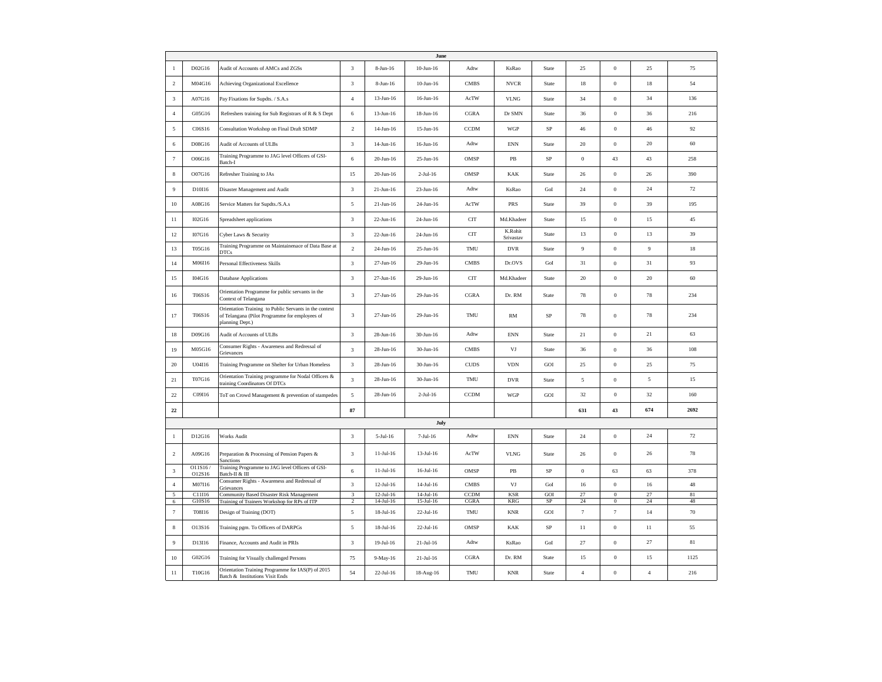|                                 |                   |                                                                                                                             |                              |                        | June                         |                    |                      |           |                  |                              |                |              |
|---------------------------------|-------------------|-----------------------------------------------------------------------------------------------------------------------------|------------------------------|------------------------|------------------------------|--------------------|----------------------|-----------|------------------|------------------------------|----------------|--------------|
| $\mathbf{1}$                    | D02G16            | Audit of Accounts of AMCs and ZGSs                                                                                          | $\mathbf{3}$                 | $8 - \text{Jun} - 16$  | $10$ -Jun- $16$              | Adtw               | KsRao                | State     | 25               | $\boldsymbol{0}$             | $25\,$         | 75           |
| $\overline{c}$                  | M04G16            | Achieving Organizational Excellence                                                                                         | $\sqrt{3}$                   | 8-Jun-16               | $10$ -Jun- $16$              | <b>CMBS</b>        | <b>NVCR</b>          | State     | $18\,$           | $\,0\,$                      | $18\,$         | $54\,$       |
| $_{\rm 3}$                      | A07G16            | Pay Fixations for Supdts. / S.A.s                                                                                           | $\overline{4}$               | $13$ -Jun-16           | 16-Jun-16                    | AcTW               | <b>VLNG</b>          | State     | 34               | $\boldsymbol{0}$             | 34             | 136          |
| $\sqrt{4}$                      | G05G16            | Refreshers training for Sub Registrars of R & S Dept                                                                        | 6                            | 13-Jun-16              | 18-Jun-16                    | <b>CGRA</b>        | Dr SMN               | State     | 36               | $\boldsymbol{0}$             | 36             | 216          |
| $\sqrt{5}$                      | C06S16            | Consultation Workshop on Final Draft SDMP                                                                                   | $\overline{2}$               | 14-Jun-16              | $15$ -Jun- $16$              | <b>CCDM</b>        | <b>WGP</b>           | $\rm SP$  | $46\,$           | $\,0\,$                      | 46             | 92           |
| $\,$ 6 $\,$                     | D08G16            | Audit of Accounts of ULBs                                                                                                   | $\sqrt{3}$                   | 14-Jun-16              | $16$ -Jun- $16$              | Adtw               | <b>ENN</b>           | State     | 20               | $\,0\,$                      | 20             | 60           |
| $\boldsymbol{7}$                | O06G16            | Training Programme to JAG level Officers of GSI-<br>Batch-I                                                                 | $\,$ 6 $\,$                  | $20 - Jun-16$          | 25-Jun-16                    | OMSP               | $\rm{PB}$            | $\rm SP$  | $\boldsymbol{0}$ | 43                           | 43             | 258          |
| $\,$ 8 $\,$                     | O07G16            | Refresher Training to JAs                                                                                                   | 15                           | 20-Jun-16              | $2-Jul-16$                   | OMSP               | <b>KAK</b>           | State     | $26\,$           | $\,0\,$                      | $26\,$         | 390          |
| $\overline{9}$                  | D10I16            | Disaster Management and Audit                                                                                               | $\mathbf{3}$                 | 21-Jun-16              | 23-Jun-16                    | Adtw               | KsRao                | GoI       | $24\,$           | $\boldsymbol{0}$             | 24             | 72           |
| $10\,$                          | A08G16            | Service Matters for Supdts./S.A.s                                                                                           | 5                            | 21-Jun-16              | 24-Jun-16                    | AcTW               | PRS                  | State     | 39               | $\boldsymbol{0}$             | 39             | 195          |
| 11                              | I02G16            | Spreadsheet applications                                                                                                    | 3                            | 22-Jun-16              | 24-Jun-16                    | <b>CIT</b>         | Md.Khadeer           | State     | 15               | $\boldsymbol{0}$             | 15             | 45           |
| 12                              | I07G16            | Cyber Laws & Security                                                                                                       | $\mathbf{3}$                 | 22-Jun-16              | 24-Jun-16                    | <b>CIT</b>         | K.Rohit<br>Srivastav | State     | 13               | $\,0\,$                      | 13             | 39           |
| 13                              | T05G16            | Training Programme on Maintainenace of Data Base at<br><b>DTCs</b>                                                          | $\overline{2}$               | 24-Jun-16              | 25-Jun-16                    | TMU                | <b>DVR</b>           | State     | $\overline{9}$   | $\boldsymbol{0}$             | $\overline{9}$ | 18           |
| 14                              | M06I16            | Personal Effectiveness Skills                                                                                               | $\mathbf{3}$                 | 27-Jun-16              | 29-Jun-16                    | <b>CMBS</b>        | Dr.OVS               | GoI       | 31               | $\boldsymbol{0}$             | 31             | 93           |
| 15                              | I04G16            | Database Applications                                                                                                       | $\sqrt{3}$                   | 27-Jun-16              | 29-Jun-16                    | <b>CIT</b>         | Md.Khadeer           | State     | $20\,$           | $\,0\,$                      | $20\,$         | 60           |
| 16                              | T06S16            | Orientation Programme for public servants in the<br>Context of Telangana                                                    | $\overline{\mathbf{3}}$      | 27-Jun-16              | 29-Jun-16                    | CGRA               | Dr. RM               | State     | 78               | $\,0\,$                      | 78             | 234          |
| 17                              | T06S16            | Orientation Training to Public Servants in the context<br>of Telangana (Pilot Programme for employees of<br>planning Dept.) | $\mathbf{3}$                 | 27-Jun-16              | 29-Jun-16                    | TMU                | RM                   | $\rm SP$  | 78               | $\boldsymbol{0}$             | 78             | 234          |
| $18\,$                          | D09G16            | Audit of Accounts of ULBs                                                                                                   | $\sqrt{3}$                   | 28-Jun-16              | 30-Jun-16                    | Adtw               | <b>ENN</b>           | State     | 21               | $\,0\,$                      | $21\,$         | 63           |
| 19                              | M05G16            | Consumer Rights - Awareness and Redressal of<br>Grievances                                                                  | $\sqrt{3}$                   | 28-Jun-16              | 30-Jun-16                    | <b>CMBS</b>        | VJ                   | State     | 36               | $\,0\,$                      | 36             | 108          |
| 20                              | U04I16            | Training Programme on Shelter for Urban Homeless                                                                            | $\mathbf{3}$                 | 28-Jun-16              | 30-Jun-16                    | <b>CUDS</b>        | <b>VDN</b>           | GOI       | $25\,$           | $\,0\,$                      | $25\,$         | 75           |
| $21\,$                          | T07G16            | Orientation Training programme for Nodal Officers &<br>training Coordinators Of DTCs                                        | $\mathbf{3}$                 | 28-Jun-16              | 30-Jun-16                    | TMU                | <b>DVR</b>           | State     | $\sqrt{5}$       | $\boldsymbol{0}$             | $\sqrt{5}$     | 15           |
| 22                              | C09I16            | ToT on Crowd Management & prevention of stampedes                                                                           | $\sqrt{5}$                   | 28-Jun-16              | $2-Jul-16$                   | <b>CCDM</b>        | WGP                  | GOI       | 32               | $\,$ 0 $\,$                  | $32\,$         | 160          |
| $\bf{22}$                       |                   |                                                                                                                             | 87                           |                        |                              |                    |                      |           | 631              | 43                           | 674            | 2692         |
|                                 |                   |                                                                                                                             |                              |                        | July                         |                    |                      |           |                  |                              |                |              |
| $\mathbf{1}$                    | D12G16            | <b>Works Audit</b>                                                                                                          | 3                            | $5-Jul-16$             | 7-Jul-16                     | Adtw               | <b>ENN</b>           | State     | 24               | $\boldsymbol{0}$             | 24             | 72           |
| $\,2$                           | A09G16            | Preparation & Processing of Pension Papers &<br>Sanctions                                                                   | $\sqrt{3}$                   | $11-Jul-16$            | $13-Jul-16$                  | AcTW               | <b>VLNG</b>          | State     | $26\,$           | $\boldsymbol{0}$             | 26             | 78           |
| $\mathfrak z$                   | O11S16/<br>O12S16 | Training Programme to JAG level Officers of GSI-<br>Batch-II & III                                                          | $\,$ 6 $\,$                  | $11-Jul-16$            | $16$ -Jul- $16$              | OMSP               | PB                   | $\rm SP$  | $\boldsymbol{0}$ | 63                           | 63             | 378          |
| $\overline{4}$                  | M07I16            | Consumer Rights - Awareness and Redressal of<br>Grievances                                                                  | $\mathbf{3}$                 | $12$ -Jul-16           | $14-Jul-16$                  | <b>CMBS</b>        | VJ                   | GoI       | $16\,$           | $\boldsymbol{0}$             | $16\,$         | 48           |
| 5                               | C11I16            | Community Based Disaster Risk Management                                                                                    | $\overline{3}$               | $12-Jul-16$            | $14$ -Jul- $16$              | <b>CCDM</b>        | <b>KSR</b>           | GOI       | 27               | $\bf{0}$                     | 27             | 81           |
| $\,$ 6 $\,$<br>$\boldsymbol{7}$ | G10S16<br>T08I16  | Training of Trainers Workshop for RPs of ITP<br>Design of Training (DOT)                                                    | $\overline{c}$<br>$\sqrt{5}$ | 14-Jul-16<br>18-Jul-16 | $15$ -Jul- $16$<br>22-Jul-16 | <b>CGRA</b><br>TMU | KRG<br><b>KNR</b>    | SP<br>GOI | 24<br>$\tau$     | $\bf{0}$<br>$\boldsymbol{7}$ | 24<br>14       | 48<br>$70\,$ |
| $\,$ 8 $\,$                     | O13S16            | Training pgm. To Officers of DARPGs                                                                                         | $\sqrt{5}$                   | $18-Jul-16$            | 22-Jul-16                    | OMSP               | <b>KAK</b>           | $\rm SP$  | $11\,$           | $\,0\,$                      | 11             | 55           |
| $\overline{9}$                  | D13I16            | Finance, Accounts and Audit in PRIs                                                                                         | 3                            | $19-Jul-16$            | $21-Jul-16$                  | Adtw               | KsRao                | GoI       | $27\,$           | $\,0\,$                      | $27\,$         | $81\,$       |
| 10                              | G02G16            | Training for Visually challenged Persons                                                                                    | 75                           | 9-May-16               | $21-Jul-16$                  | CGRA               | Dr. RM               | State     | 15               | $\boldsymbol{0}$             | 15             | 1125         |
| 11                              | T10G16            | Orientation Training Programme for IAS(P) of 2015<br>Batch & Institutions Visit Ends                                        | 54                           | $22$ -Jul-16           | 18-Aug-16                    | TMU                | <b>KNR</b>           | State     | $\overline{4}$   | $\boldsymbol{0}$             | $\overline{4}$ | 216          |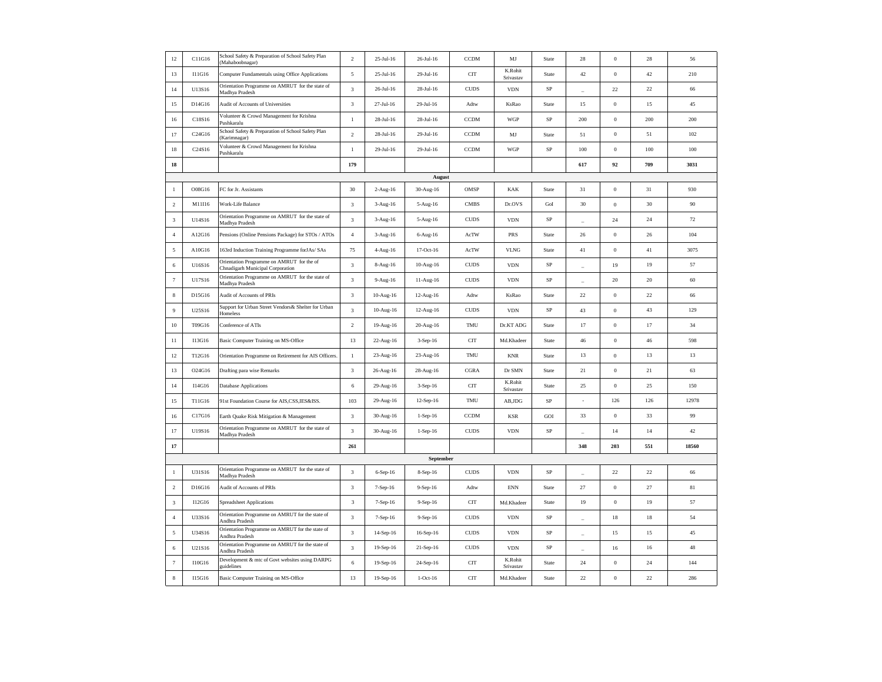| 12               | C11G16 | School Safety & Preparation of School Safety Plan<br>Mahaboobnagar)           | $\sqrt{2}$                  | 25-Jul-16   | 26-Jul-16  | <b>CCDM</b> | $\mathbf{M}\mathbf{J}$ | State         | 28                       | $\mathbf{0}$     | 28     | 56     |
|------------------|--------|-------------------------------------------------------------------------------|-----------------------------|-------------|------------|-------------|------------------------|---------------|--------------------------|------------------|--------|--------|
| 13               | I11G16 | Computer Fundamentals using Office Applications                               | $\sqrt{5}$                  | $25-Jul-16$ | 29-Jul-16  | <b>CIT</b>  | K.Rohit<br>Srivastav   | State         | 42                       | $\,0\,$          | 42     | 210    |
| 14               | U13S16 | Orientation Programme on AMRUT for the state of<br>Madhya Pradesh             | 3                           | 26-Jul-16   | 28-Jul-16  | <b>CUDS</b> | <b>VDN</b>             | SP            |                          | 22               | 22     | 66     |
| 15               | D14G16 | Audit of Accounts of Universities                                             | $\mathfrak z$               | 27-Jul-16   | 29-Jul-16  | Adtw        | KsRao                  | State         | 15                       | $\,$ 0 $\,$      | 15     | 45     |
| 16               | C18S16 | Volunteer & Crowd Management for Krishna<br>Pushkaralu                        | $\,1\,$                     | 28-Jul-16   | 28-Jul-16  | <b>CCDM</b> | <b>WGP</b>             | $\rm SP$      | 200                      | $\,0\,$          | 200    | 200    |
| 17               | C24G16 | School Safety & Preparation of School Safety Plan<br>Karimnagar)              | $\sqrt{2}$                  | 28-Jul-16   | 29-Jul-16  | <b>CCDM</b> | MJ                     | State         | 51                       | $\boldsymbol{0}$ | 51     | 102    |
| 18               | C24S16 | Volunteer & Crowd Management for Krishna<br>Pushkaralu                        | $\,1\,$                     | 29-Jul-16   | 29-Jul-16  | <b>CCDM</b> | <b>WGP</b>             | SP            | 100                      | $\boldsymbol{0}$ | 100    | 100    |
| 18               |        |                                                                               | 179                         |             |            |             |                        |               | 617                      | 92               | 709    | 3031   |
|                  |        |                                                                               |                             |             | August     |             |                        |               |                          |                  |        |        |
| $\,1\,$          | O08G16 | FC for Jr. Assistants                                                         | 30                          | 2-Aug-16    | 30-Aug-16  | OMSP        | <b>KAK</b>             | State         | 31                       | $\boldsymbol{0}$ | 31     | 930    |
| $\sqrt{2}$       | M11I16 | Work-Life Balance                                                             | 3                           | 3-Aug-16    | 5-Aug-16   | <b>CMBS</b> | Dr.OVS                 | $_{\rm{GoI}}$ | 30                       | $\boldsymbol{0}$ | $30\,$ | 90     |
| $\sqrt{3}$       | U14S16 | Orientation Programme on AMRUT for the state of<br>Madhya Pradesh             | $\sqrt{3}$                  | 3-Aug-16    | 5-Aug-16   | <b>CUDS</b> | <b>VDN</b>             | $\rm SP$      | ÷                        | $24\,$           | $24\,$ | $72\,$ |
| $\overline{4}$   | A12G16 | Pensions (Online Pensions Package) for STOs / ATOs                            | $\sqrt{4}$                  | 3-Aug-16    | 6-Aug-16   | AcTW        | PRS                    | State         | $26\,$                   | $\boldsymbol{0}$ | $26\,$ | 104    |
| $\mathfrak{s}$   | A10G16 | 163rd Induction Training Programme forJAs/ SAs                                | 75                          | 4-Aug-16    | 17-Oct-16  | AcTW        | <b>VLNG</b>            | State         | 41                       | $\boldsymbol{0}$ | 41     | 3075   |
| $\,$ 6 $\,$      | U16S16 | Orientation Programme on AMRUT for the of<br>Chnadigarh Municipal Corporation | 3                           | 8-Aug-16    | 10-Aug-16  | <b>CUDS</b> | <b>VDN</b>             | SP            |                          | 19               | 19     | 57     |
| $\tau$           | U17S16 | Orientation Programme on AMRUT for the state of<br>Madhya Pradesh             | 3                           | 9-Aug-16    | 11-Aug-16  | <b>CUDS</b> | <b>VDN</b>             | $_{\rm SP}$   | $\overline{\phantom{a}}$ | 20               | $20\,$ | 60     |
| $\,$ 8 $\,$      | D15G16 | Audit of Accounts of PRIs                                                     | 3                           | $10-Aug-16$ | 12-Aug-16  | Adtw        | KsRao                  | State         | $22\,$                   | $\,0\,$          | 22     | 66     |
| $\boldsymbol{9}$ | U25S16 | Support for Urban Street Vendors& Shelter for Urban<br>Homeless               | $\sqrt{3}$                  | 10-Aug-16   | 12-Aug-16  | <b>CUDS</b> | <b>VDN</b>             | $_{\rm SP}$   | 43                       | $\boldsymbol{0}$ | 43     | 129    |
| $10\,$           | T09G16 | Conference of ATIs                                                            | $\sqrt{2}$                  | 19-Aug-16   | 20-Aug-16  | TMU         | Dr.KT ADG              | State         | 17                       | $\,0\,$          | 17     | 34     |
| $11\,$           | I13G16 | Basic Computer Training on MS-Office                                          | 13                          | 22-Aug-16   | 3-Sep-16   | <b>CIT</b>  | Md.Khadeer             | State         | 46                       | $\,0\,$          | $46\,$ | 598    |
| 12               | T12G16 | Orientation Programme on Retirement for AIS Officers.                         | $\,1\,$                     | 23-Aug-16   | 23-Aug-16  | TMU         | <b>KNR</b>             | State         | 13                       | $\boldsymbol{0}$ | 13     | 13     |
| 13               | O24G16 | Drafting para wise Remarks                                                    | 3                           | 26-Aug-16   | 28-Aug-16  | <b>CGRA</b> | Dr SMN                 | State         | $21\,$                   | $\,0\,$          | $21\,$ | 63     |
| 14               | I14G16 | Database Applications                                                         | 6                           | 29-Aug-16   | $3-Sep-16$ | <b>CIT</b>  | K.Rohit<br>Srivastav   | State         | 25                       | $\,0\,$          | 25     | 150    |
| 15               | T11G16 | 91st Foundation Course for AIS,CSS,IES&ISS.                                   | 103                         | 29-Aug-16   | 12-Sep-16  | TMU         | AB, JDG                | $\rm SP$      | ä,                       | 126              | 126    | 12978  |
| 16               | C17G16 | Earth Quake Risk Mitigation & Management                                      | 3                           | 30-Aug-16   | $1-Sep-16$ | <b>CCDM</b> | <b>KSR</b>             | GOI           | 33                       | $\boldsymbol{0}$ | 33     | 99     |
| 17               | U19S16 | Orientation Programme on AMRUT for the state of<br>Madhya Pradesh             | 3                           | 30-Aug-16   | $1-Sep-16$ | <b>CUDS</b> | <b>VDN</b>             | SP            | $\overline{\phantom{0}}$ | 14               | 14     | 42     |
| 17               |        |                                                                               | 261                         |             |            |             |                        |               | 348                      | 203              | 551    | 18560  |
|                  |        |                                                                               |                             |             | September  |             |                        |               |                          |                  |        |        |
| $\mathbf{1}$     | U31S16 | Orientation Programme on AMRUT for the state of<br>Madhya Pradesh             | 3                           | 6-Sep-16    | 8-Sep-16   | <b>CUDS</b> | <b>VDN</b>             | $_{\rm SP}$   |                          | 22               | $22\,$ | 66     |
| $\,2\,$          | D16G16 | <b>Audit of Accounts of PRIs</b>                                              | $\ensuremath{\mathfrak{Z}}$ | 7-Sep-16    | 9-Sep-16   | Adtw        | <b>ENN</b>             | State         | 27                       | $\boldsymbol{0}$ | 27     | 81     |
| $_{3}$           | I12G16 | <b>Spreadsheet Applications</b>                                               | $\sqrt{3}$                  | 7-Sep-16    | 9-Sep-16   | <b>CIT</b>  | Md.Khadeer             | State         | 19                       | $\boldsymbol{0}$ | 19     | 57     |
| $\overline{4}$   | U33S16 | Orientation Programme on AMRUT for the state of<br>Andhra Pradesh             | $\mathfrak z$               | $7-Sep-16$  | 9-Sep-16   | <b>CUDS</b> | <b>VDN</b>             | $\rm SP$      | ٠                        | 18               | 18     | 54     |
| $\sqrt{5}$       | U34S16 | Orientation Programme on AMRUT for the state of<br>Andhra Pradesh             | 3                           | 14-Sep-16   | 16-Sep-16  | <b>CUDS</b> | <b>VDN</b>             | $_{\rm SP}$   | L.                       | 15               | 15     | 45     |
| 6                | U21S16 | Orientation Programme on AMRUT for the state of<br>Andhra Pradesh             | 3                           | 19-Sep-16   | 21-Sep-16  | <b>CUDS</b> | <b>VDN</b>             | $\mbox{SP}$   | i.                       | 16               | 16     | 48     |
| $\tau$           | I10G16 | Development & mtc of Govt websites using DARPG<br>guidelines                  | $\sqrt{6}$                  | 19-Sep-16   | 24-Sep-16  | <b>CIT</b>  | K.Rohit<br>Srivastav   | State         | 24                       | $\boldsymbol{0}$ | 24     | 144    |
| 8                | I15G16 | Basic Computer Training on MS-Office                                          | 13                          | 19-Sep-16   | $1-Oct-16$ | <b>CIT</b>  | Md.Khadeer             | State         | 22                       | $\Omega$         | $22\,$ | 286    |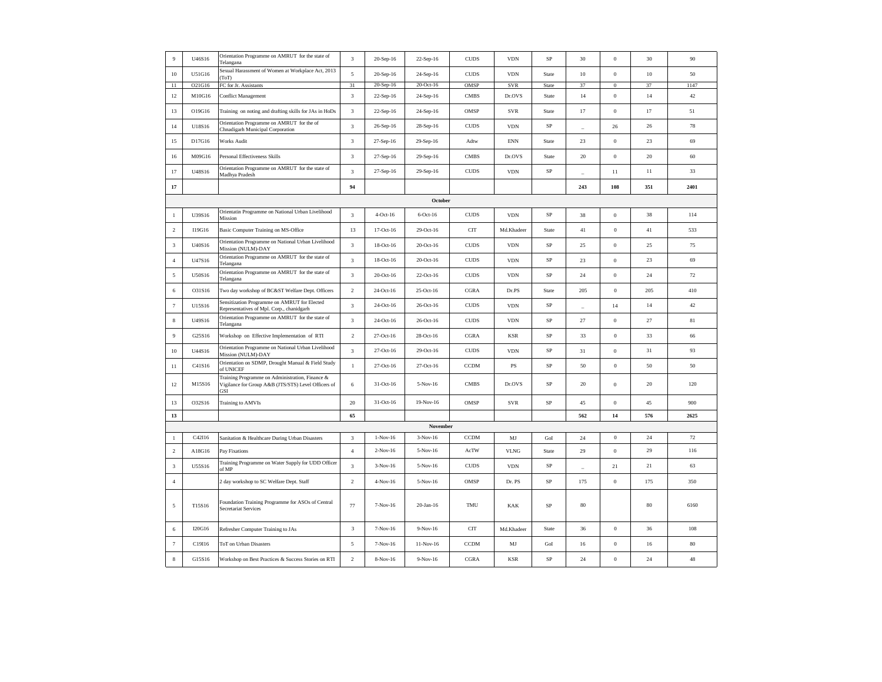| $\overline{9}$ | U46S16 | Orientation Programme on AMRUT for the state of<br>Telangana                                                  | 3                           | 20-Sep-16         | 22-Sep-16   | <b>CUDS</b>   | <b>VDN</b>                  | SP          | 30             | $\mathbf{0}$     | 30     | 90     |
|----------------|--------|---------------------------------------------------------------------------------------------------------------|-----------------------------|-------------------|-------------|---------------|-----------------------------|-------------|----------------|------------------|--------|--------|
| $10\,$         | U51G16 | Sexual Harassment of Women at Workplace Act, 2013<br>ToT                                                      | 5                           | 20-Sep-16         | 24-Sep-16   | <b>CUDS</b>   | <b>VDN</b>                  | State       | $10\,$         | $\boldsymbol{0}$ | $10\,$ | 50     |
| 11             | O21G16 | FC for Jr. Assistants                                                                                         | 31                          | 20-Sep-16         | 20-Oct-16   | OMSP          | <b>SVR</b>                  | State       | 37             | $\mathbf{0}$     | 37     | 1147   |
| 12             | M10G16 | Conflict Management                                                                                           | 3                           | 22-Sep-16         | 24-Sep-16   | <b>CMBS</b>   | Dr.OVS                      | State       | 14             | $\boldsymbol{0}$ | $14$   | $42\,$ |
| 13             | O19G16 | Training on noting and drafting skills for JAs in HoDs                                                        | 3                           | 22-Sep-16         | 24-Sep-16   | OMSP          | <b>SVR</b>                  | State       | 17             | $\boldsymbol{0}$ | 17     | 51     |
| 14             | U18S16 | Orientation Programme on AMRUT for the of<br>Chnadigarh Municipal Corporation                                 | 3                           | 26-Sep-16         | 28-Sep-16   | <b>CUDS</b>   | <b>VDN</b>                  | SP          | $\overline{a}$ | 26               | 26     | 78     |
| 15             | D17G16 | Works Audit                                                                                                   | $\sqrt{3}$                  | $27$ -Sep-16 $\,$ | 29-Sep-16   | Adtw          | $\mathop{\rm ENN}\nolimits$ | State       | 23             | $\boldsymbol{0}$ | 23     | 69     |
| 16             | M09G16 | Personal Effectiveness Skills                                                                                 | $\sqrt{3}$                  | 27-Sep-16         | 29-Sep-16   | <b>CMBS</b>   | Dr.OVS                      | State       | $20\,$         | $\,0\,$          | $20\,$ | $60\,$ |
| $17\,$         | U48S16 | Orientation Programme on AMRUT for the state of<br>Madhya Pradesh                                             | $\ensuremath{\mathfrak{Z}}$ | 27-Sep-16         | 29-Sep-16   | <b>CUDS</b>   | <b>VDN</b>                  | $\rm SP$    | ÷              | 11               | $11\,$ | 33     |
| 17             |        |                                                                                                               | 94                          |                   |             |               |                             |             | 243            | 108              | 351    | 2401   |
|                |        |                                                                                                               |                             |                   | October     |               |                             |             |                |                  |        |        |
| $\mathbf{1}$   | U39S16 | Orientatin Programme on National Urban Livelihood<br>Mission                                                  | 3                           | $4-Oct-16$        | $6$ -Oct-16 | <b>CUDS</b>   | <b>VDN</b>                  | SP          | 38             | $\boldsymbol{0}$ | 38     | 114    |
| $\sqrt{2}$     | I19G16 | Basic Computer Training on MS-Office                                                                          | 13                          | 17-Oct-16         | 29-Oct-16   | <b>CIT</b>    | Md.Khadeer                  | State       | 41             | $\,0\,$          | 41     | 533    |
| $_{3}$         | U40S16 | Orientation Programme on National Urban Livelihood<br>Mission (NULM)-DAY                                      | 3                           | 18-Oct-16         | 20-Oct-16   | <b>CUDS</b>   | <b>VDN</b>                  | $\rm SP$    | 25             | $\boldsymbol{0}$ | 25     | 75     |
| $\overline{4}$ | U47S16 | Orientation Programme on AMRUT for the state of<br>Telangana                                                  | 3                           | 18-Oct-16         | 20-Oct-16   | <b>CUDS</b>   | <b>VDN</b>                  | $\rm SP$    | 23             | $\boldsymbol{0}$ | 23     | 69     |
| 5              | U50S16 | Orientation Programme on AMRUT for the state of<br>Telangana                                                  | $\mathfrak z$               | 20-Oct-16         | 22-Oct-16   | <b>CUDS</b>   | <b>VDN</b>                  | $\rm SP$    | 24             | $\boldsymbol{0}$ | 24     | 72     |
| 6              | O31S16 | Two day workshop of BC&ST Welfare Dept. Officers                                                              | $\,2$                       | 24-Oct-16         | 25-Oct-16   | CGRA          | Dr.PS                       | State       | 205            | $\mathbf{0}$     | 205    | 410    |
| $\tau$         | U15S16 | Sensitization Programme on AMRUT for Elected<br>Representatives of Mpl. Corp., chanidgarh                     | $\ensuremath{\mathfrak{Z}}$ | 24-Oct-16         | 26-Oct-16   | <b>CUDS</b>   | <b>VDN</b>                  | $\rm SP$    | $\overline{a}$ | 14               | 14     | 42     |
| $\,$ 8 $\,$    | U49S16 | Orientation Programme on AMRUT for the state of<br>Telangana                                                  | $\mathfrak z$               | 24-Oct-16         | 26-Oct-16   | <b>CUDS</b>   | <b>VDN</b>                  | $\rm SP$    | 27             | $\boldsymbol{0}$ | 27     | $81\,$ |
| $\overline{9}$ | G25S16 | Workshop on Effective Implementation of RTI                                                                   | $\,2$                       | 27-Oct-16         | 28-Oct-16   | $_{\rm CGRA}$ | <b>KSR</b>                  | $\rm SP$    | 33             | $\boldsymbol{0}$ | 33     | 66     |
| 10             | U44S16 | Orientation Programme on National Urban Livelihood<br>Mission (NULM)-DAY                                      | 3                           | 27-Oct-16         | 29-Oct-16   | $\rm CUDS$    | <b>VDN</b>                  | $_{\rm SP}$ | 31             | $\,$ 0 $\,$      | 31     | 93     |
| 11             | C41S16 | Orientation on SDMP, Drought Manual & Field Study<br>of UNICEF                                                | $\mathbf{1}$                | 27-Oct-16         | 27-Oct-16   | <b>CCDM</b>   | $\mathbf{PS}$               | $\rm SP$    | 50             | $\,0\,$          | 50     | 50     |
| 12             | M15S16 | Training Programme on Administration, Finance &<br>Vigilance for Group A&B (JTS/STS) Level Officers of<br>GSI | 6                           | 31-Oct-16         | $5-Nov-16$  | <b>CMBS</b>   | Dr.OVS                      | SP          | 20             | $\boldsymbol{0}$ | 20     | 120    |
| 13             | O32S16 | Training to AMVIs                                                                                             | $20\,$                      | 31-Oct-16         | 19-Nov-16   | OMSP          | SVR                         | $\rm SP$    | 45             | $\boldsymbol{0}$ | $45\,$ | 900    |
| 13             |        |                                                                                                               | 65                          |                   |             |               |                             |             | 562            | 14               | 576    | 2625   |
|                |        |                                                                                                               |                             |                   | November    |               |                             |             |                |                  |        |        |
| $\overline{1}$ | C42I16 | Sanitation & Healthcare During Urban Disasters                                                                | 3                           | $1-Nov-16$        | $3-Nov-16$  | <b>CCDM</b>   | MJ                          | GoI         | 24             | $\theta$         | 24     | 72     |
| $\sqrt{2}$     | A18G16 | Pay Fixations                                                                                                 | $\overline{4}$              | $2-Nov-16$        | 5-Nov-16    | AcTW          | <b>VLNG</b>                 | State       | 29             | $\boldsymbol{0}$ | 29     | 116    |
| $\sqrt{3}$     | U55S16 | Training Programme on Water Supply for UDD Officer<br>of MP                                                   | $\mathfrak z$               | $3-Nov-16$        | $5-Nov-16$  | <b>CUDS</b>   | <b>VDN</b>                  | SP          | ÷              | 21               | 21     | 63     |
| $\sqrt{4}$     |        | 2 day workshop to SC Welfare Dept. Staff                                                                      | $\,2$                       | $4-Nov-16$        | 5-Nov-16    | OMSP          | Dr. PS                      | $\rm SP$    | 175            | $\,$ 0 $\,$      | 175    | 350    |
| 5              | T15S16 | Foundation Training Programme for ASOs of Central<br>Secretariat Services                                     | 77                          | 7-Nov-16          | $20-Ian-16$ | TMU           | KAK                         | $\rm SP$    | 80             |                  | 80     | 6160   |
| 6              | I20G16 | Refresher Computer Training to JAs                                                                            | 3                           | 7-Nov-16          | 9-Nov-16    | <b>CIT</b>    | Md.Khadeer                  | State       | 36             | $\bf{0}$         | 36     | 108    |
| $\tau$         | C19I16 | ToT on Urban Disasters                                                                                        | 5                           | 7-Nov-16          | $11-Nov-16$ | CCDM          | MJ                          | GoI         | 16             | $\,0\,$          | 16     | 80     |
| $\,$ 8 $\,$    | G15S16 | Workshop on Best Practices & Success Stories on RTI                                                           | $\sqrt{2}$                  | 8-Nov-16          | 9-Nov-16    | CGRA          | <b>KSR</b>                  | SP          | 24             | $\mathbf{0}$     | 24     | 48     |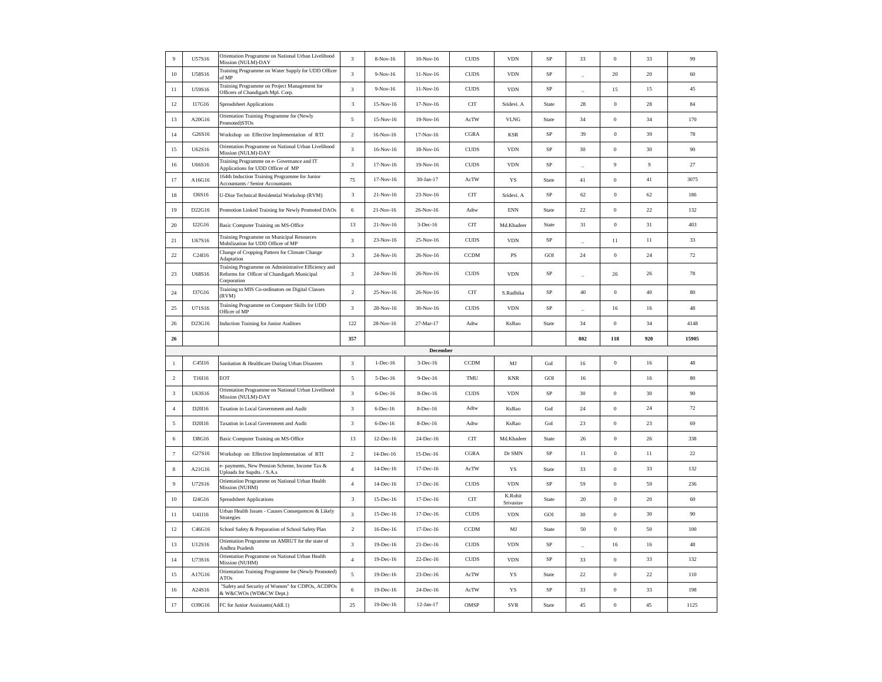| $\overline{9}$ | U57S16 | Orientation Programme on National Urban Livelihood<br>Mission (NULM)-DAY                                          | 3              | 8-Nov-16          | $10-Nov-16$ | <b>CUDS</b> | <b>VDN</b>           | SP          | 33                       | $\boldsymbol{0}$ | 33             | 99     |
|----------------|--------|-------------------------------------------------------------------------------------------------------------------|----------------|-------------------|-------------|-------------|----------------------|-------------|--------------------------|------------------|----------------|--------|
| 10             | U58S16 | Training Programme on Water Supply for UDD Officer<br>of MP                                                       | 3              | $9-Nov-16$        | 11-Nov-16   | <b>CUDS</b> | <b>VDN</b>           | SP          | $\overline{a}$           | 20               | 20             | 60     |
| 11             | U59S16 | Training Programme on Project Management for<br>Officers of Chandigarh Mpl. Corp.                                 | $\sqrt{3}$     | 9-Nov-16          | 11-Nov-16   | <b>CUDS</b> | <b>VDN</b>           | $\rm SP$    | $\overline{\phantom{a}}$ | 15               | 15             | 45     |
| 12             | I17G16 | Spreadsheet Applications                                                                                          | $\mathbf{3}$   | 15-Nov-16         | 17-Nov-16   | <b>CIT</b>  | Sridevi. A           | State       | $\sqrt{28}$              | $\,0\,$          | 28             | 84     |
| 13             | A20G16 | Orientation Training Programme for (Newly<br>Promoted)STOs                                                        | $\sqrt{5}$     | $15-Nov-16$       | 19-Nov-16   | AcTW        | <b>VLNG</b>          | State       | $34\,$                   | $\,0\,$          | 34             | 170    |
| 14             | G26S16 | Workshop on Effective Implementation of RTI                                                                       | $\mathfrak{D}$ | 16-Nov-16         | 17-Nov-16   | CGRA        | KSR                  | SP          | 39                       | $\mathbf{0}$     | 39             | 78     |
| 15             | U62S16 | Orientation Programme on National Urban Livelihood<br>Mission (NULM)-DAY                                          | $\mathfrak z$  | 16-Nov-16         | 18-Nov-16   | $\rm CUDS$  | <b>VDN</b>           | $\rm SP$    | 30                       | $\,0\,$          | 30             | $90\,$ |
| $16$           | U66S16 | Training Programme on e- Governance and IT<br>Applications for UDD Officer of MP                                  | $\mathbf{3}$   | 17-Nov-16         | 19-Nov-16   | <b>CUDS</b> | <b>VDN</b>           | $\rm SP$    | $\overline{a}$           | 9                | $\overline{9}$ | $27\,$ |
| 17             | A16G16 | 164th Induction Training Programme for Junior<br><b>Accountants / Senior Accountants</b>                          | 75             | 17-Nov-16         | 30-Jan-17   | AcTW        | YS                   | State       | 41                       | $\boldsymbol{0}$ | 41             | 3075   |
| $18\,$         | I36S16 | U-Dise Technical Residential Workshop (RVM)                                                                       | 3              | 21-Nov-16         | 23-Nov-16   | <b>CIT</b>  | Sridevi. A           | SP          | 62                       | $\,0\,$          | 62             | 186    |
| 19             | D22G16 | Promotion Linked Training for Newly Promoted DAOs                                                                 | 6              | 21-Nov-16         | 26-Nov-16   | Adtw        | <b>ENN</b>           | State       | 22                       | $\boldsymbol{0}$ | 22             | 132    |
| 20             | I22G16 | Basic Computer Training on MS-Office                                                                              | 13             | 21-Nov-16         | $3-Dec-16$  | <b>CIT</b>  | Md.Khadeer           | State       | 31                       | $\,0\,$          | 31             | 403    |
| 21             | U67S16 | Training Programme on Municipal Resources<br>Mobilization for UDD Officer of MP                                   | 3              | 23-Nov-16         | 25-Nov-16   | <b>CUDS</b> | <b>VDN</b>           | SP          | $\overline{\phantom{a}}$ | 11               | 11             | 33     |
| 22             | C24I16 | Change of Cropping Pattern for Climate Change<br>Adaptation                                                       | 3              | 24-Nov-16         | 26-Nov-16   | <b>CCDM</b> | $\mathbf{PS}$        | GOI         | 24                       | $\,0\,$          | 24             | $72\,$ |
| 23             | U68S16 | Training Programme on Administrative Efficiency and<br>Reforms for Officer of Chandigarh Municipal<br>Corporation | 3              | 24-Nov-16         | 26-Nov-16   | <b>CUDS</b> | <b>VDN</b>           | <b>SP</b>   |                          | 26               | 26             | 78     |
| 24             | I37G16 | Training to MIS Co-ordinators on Digital Classes<br>(RVM)                                                         | $\mathfrak{D}$ | 25-Nov-16         | 26-Nov-16   | <b>CIT</b>  | S.Radhika            | SP          | $40\,$                   | $\mathbf{0}$     | 40             | 80     |
| 25             | U71S16 | Training Programme on Computer Skills for UDD<br>Officer of MP                                                    | 3              | 28-Nov-16         | 30-Nov-16   | <b>CUDS</b> | <b>VDN</b>           | SP          | $\overline{\phantom{a}}$ | 16               | 16             | 48     |
| 26             | D23G16 | <b>Induction Training for Junior Auditors</b>                                                                     | 122            | 28-Nov-16         | 27-Mar-17   | Adtw        | KsRao                | State       | 34                       | $\boldsymbol{0}$ | 34             | 4148   |
|                |        |                                                                                                                   |                |                   |             |             |                      |             |                          |                  |                |        |
| 26             |        |                                                                                                                   | 357            |                   |             |             |                      |             | 802                      | 118              | 920            | 15905  |
|                |        |                                                                                                                   |                |                   | December    |             |                      |             |                          |                  |                |        |
| 1              | C45I16 | Sanitation & Healthcare During Urban Disasters                                                                    | 3              | $1$ -Dec-16       | 3-Dec-16    | CCDM        | MJ                   | GoI         | 16                       | $\,0\,$          | $16$           | $48\,$ |
| $\overline{2}$ | T16I16 | EOT                                                                                                               | 5              | 5-Dec-16          | 9-Dec-16    | TMU         | <b>KNR</b>           | GOI         | 16                       |                  | 16             | 80     |
| $\mathbf{3}$   | U63S16 | Orientation Programme on National Urban Livelihood<br>Mission (NULM)-DAY                                          | 3              | 6-Dec-16          | 8-Dec-16    | <b>CUDS</b> | <b>VDN</b>           | SP          | $30\,$                   | $\boldsymbol{0}$ | 30             | 90     |
| $\overline{4}$ | D20I16 | Taxation in Local Government and Audit                                                                            | 3              | 6-Dec-16          | 8-Dec-16    | Adtw        | KsRao                | GoI         | $24\,$                   | $\boldsymbol{0}$ | 24             | 72     |
| $\mathfrak{s}$ | D20I16 | Taxation in Local Government and Audit                                                                            | 3              | 6-Dec-16          | 8-Dec-16    | Adtw        | KsRao                | GoI         | 23                       | $\boldsymbol{0}$ | 23             | 69     |
| 6              | I38G16 | Basic Computer Training on MS-Office                                                                              | 13             | $12$ -Dec-16 $\,$ | 24-Dec-16   | <b>CIT</b>  | Md.Khadeer           | State       | 26                       | $\,0\,$          | 26             | 338    |
| $\tau$         | G27S16 | Workshop on Effective Implementation of RTI                                                                       | $\mathfrak{D}$ | 14-Dec-16         | 15-Dec-16   | CGRA        | Dr SMN               | $_{\rm SP}$ | $11\,$                   | $\,0\,$          | $11\,$         | $22\,$ |
| $\,$ 8 $\,$    | A21G16 | payments, New Pension Scheme, Income Tax &<br>Jploads for Supdts. / S.A.s                                         | $\sqrt{4}$     | 14-Dec-16         | 17-Dec-16   | AcTW        | YS                   | State       | 33                       | $\,$ 0 $\,$      | 33             | 132    |
| 9              | U72S16 | Orientation Programme on National Urban Health<br>Mission (NUHM)                                                  | $\sqrt{4}$     | 14-Dec-16         | 17-Dec-16   | $\rm CUDS$  | <b>VDN</b>           | $_{\rm SP}$ | 59                       | $\,0\,$          | 59             | 236    |
| 10             | I24G16 | <b>Spreadsheet Applications</b>                                                                                   | 3              | 15-Dec-16         | 17-Dec-16   | <b>CIT</b>  | K.Rohit<br>Srivastav | State       | 20                       | $\,0\,$          | $20\,$         | 60     |
| 11             | U41I16 | Urban Health Issues - Causes Consequences & Likely<br>Strategies                                                  | 3              | 15-Dec-16         | 17-Dec-16   | <b>CUDS</b> | <b>VDN</b>           | GOI         | 30                       | $\boldsymbol{0}$ | 30             | 90     |
| 12             | C46G16 | School Safety & Preparation of School Safety Plan                                                                 | $\overline{2}$ | 16-Dec-16         | 17-Dec-16   | <b>CCDM</b> | MJ                   | State       | 50                       | $\mathbf{0}$     | 50             | 100    |
| 13             | U12S16 | Orientation Programme on AMRUT for the state of<br>Andhra Pradesh                                                 | 3              | 19-Dec-16         | 21-Dec-16   | <b>CUDS</b> | <b>VDN</b>           | $_{\rm SP}$ |                          | 16               | 16             | $48\,$ |
| 14             | U73S16 | Orientation Programme on National Urban Health<br><b>Mission (NUHM)</b>                                           | $\overline{4}$ | 19-Dec-16         | 22-Dec-16   | $\rm CUDS$  | <b>VDN</b>           | SP          | 33                       | $\boldsymbol{0}$ | 33             | 132    |
| 15             | A17G16 | Orientation Training Programme for (Newly Promoted)<br>ATO <sub>s</sub>                                           | $\overline{5}$ | 19-Dec-16         | 23-Dec-16   | AcTW        | YS                   | State       | 22                       | $\boldsymbol{0}$ | 22             | 110    |
| 16             | A24S16 | "Safety and Security of Women" for CDPOs, ACDPOs<br>& W&CWOs (WD&CW Dept.)                                        | $\,$ 6 $\,$    | 19-Dec-16         | 24-Dec-16   | AcTW        | YS                   | $\rm SP$    | 33                       | $\,0\,$          | 33             | 198    |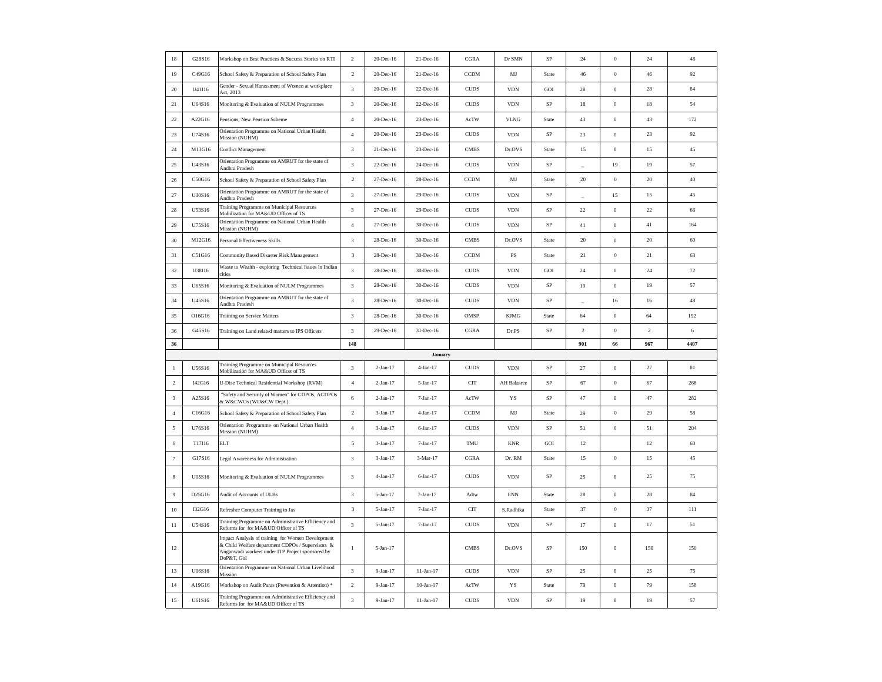| 18             | G28S16 | Workshop on Best Practices & Success Stories on RTI                                                                                                                     | $\overline{c}$          | 20-Dec-16  | 21-Dec-16      | <b>CGRA</b>  | Dr SMN                      | SP          | 24             | $\boldsymbol{0}$ | 24             | $48\,$   |
|----------------|--------|-------------------------------------------------------------------------------------------------------------------------------------------------------------------------|-------------------------|------------|----------------|--------------|-----------------------------|-------------|----------------|------------------|----------------|----------|
| 19             | C49G16 | School Safety & Preparation of School Safety Plan                                                                                                                       | $\sqrt{2}$              | 20-Dec-16  | 21-Dec-16      | CCDM         | MJ                          | State       | $46\,$         | $\,0\,$          | $46\,$         | $92\,$   |
| 20             | U41I16 | Gender - Sexual Harassment of Women at workplace<br>Act, 2013                                                                                                           | 3                       | 20-Dec-16  | 22-Dec-16      | <b>CUDS</b>  | <b>VDN</b>                  | GOI         | $\sqrt{28}$    | $\boldsymbol{0}$ | $\sqrt{28}$    | $\bf 84$ |
| 21             | U64S16 | Monitoring & Evaluation of NULM Programmes                                                                                                                              | 3                       | 20-Dec-16  | 22-Dec-16      | <b>CUDS</b>  | <b>VDN</b>                  | SP          | $18\,$         | $\boldsymbol{0}$ | 18             | 54       |
| 22             | A22G16 | Pensions, New Pension Scheme                                                                                                                                            | $\sqrt{4}$              | 20-Dec-16  | 23-Dec-16      | AcTW         | <b>VLNG</b>                 | State       | 43             | $\boldsymbol{0}$ | 43             | 172      |
| $23\,$         | U74S16 | Orientation Programme on National Urban Health<br>Mission (NUHM)                                                                                                        | $\overline{4}$          | 20-Dec-16  | 23-Dec-16      | ${\rm CUDS}$ | <b>VDN</b>                  | $_{\rm SP}$ | $23\,$         | $\boldsymbol{0}$ | 23             | $92\,$   |
| $\sqrt{24}$    | M13G16 | Conflict Management                                                                                                                                                     | $\sqrt{3}$              | 21-Dec-16  | 23-Dec-16      | <b>CMBS</b>  | Dr.OVS                      | State       | 15             | $\,0\,$          | 15             | $45\,$   |
| 25             | U43S16 | Orientation Programme on AMRUT for the state of<br>Andhra Pradesh                                                                                                       | 3                       | 22-Dec-16  | 24-Dec-16      | <b>CUDS</b>  | <b>VDN</b>                  | SP          |                | 19               | 19             | 57       |
| 26             | C50G16 | School Safety & Preparation of School Safety Plan                                                                                                                       | $\overline{2}$          | 27-Dec-16  | 28-Dec-16      | <b>CCDM</b>  | MJ                          | State       | 20             | $\,0\,$          | 20             | 40       |
| 27             | U30S16 | Orientation Programme on AMRUT for the state of<br>Andhra Pradesh                                                                                                       | 3                       | 27-Dec-16  | 29-Dec-16      | <b>CUDS</b>  | <b>VDN</b>                  | SP          | ÷              | 15               | 15             | 45       |
| 28             | U53S16 | Training Programme on Municipal Resources<br>Mobilization for MA&UD Officer of TS                                                                                       | $\sqrt{3}$              | 27-Dec-16  | 29-Dec-16      | CUDS         | <b>VDN</b>                  | $\rm SP$    | 22             | $\boldsymbol{0}$ | $22\,$         | 66       |
| 29             | U75S16 | Orientation Programme on National Urban Health<br>Mission (NUHM)                                                                                                        | $\sqrt{4}$              | 27-Dec-16  | 30-Dec-16      | ${\rm CUDS}$ | <b>VDN</b>                  | $\rm SP$    | $41\,$         | $\,$ 0 $\,$      | $41\,$         | 164      |
| 30             | M12G16 | Personal Effectiveness Skills                                                                                                                                           | $\sqrt{3}$              | 28-Dec-16  | 30-Dec-16      | <b>CMBS</b>  | Dr.OVS                      | State       | 20             | $\,$ 0 $\,$      | 20             | $60\,$   |
| 31             | C51G16 | Community Based Disaster Risk Management                                                                                                                                | 3                       | 28-Dec-16  | 30-Dec-16      | CCDM         | PS                          | State       | 21             | $\,0\,$          | 21             | 63       |
| 32             | U38I16 | Waste to Wealth - exploring Technical issues in Indian<br>cities                                                                                                        | 3                       | 28-Dec-16  | 30-Dec-16      | <b>CUDS</b>  | <b>VDN</b>                  | GOI         | 24             | $\bf{0}$         | 24             | 72       |
| 33             | U65S16 | Monitoring & Evaluation of NULM Programmes                                                                                                                              | $\sqrt{3}$              | 28-Dec-16  | 30-Dec-16      | CUDS         | <b>VDN</b>                  | $_{\rm SP}$ | 19             | $\,0\,$          | 19             | 57       |
| 34             | U45S16 | Orientation Programme on AMRUT for the state of<br>Andhra Pradesh                                                                                                       | $\sqrt{3}$              | 28-Dec-16  | 30-Dec-16      | <b>CUDS</b>  | <b>VDN</b>                  | $_{\rm SP}$ |                | $16\,$           | $16$           | $48\,$   |
| 35             | O16G16 | Training on Service Matters                                                                                                                                             | 3                       | 28-Dec-16  | 30-Dec-16      | OMSP         | <b>KJMG</b>                 | State       | 64             | $\boldsymbol{0}$ | 64             | 192      |
|                |        |                                                                                                                                                                         |                         |            |                |              |                             |             |                |                  |                |          |
| 36             | G45S16 | Training on Land related matters to IPS Officers                                                                                                                        | $\overline{\mathbf{3}}$ | 29-Dec-16  | 31-Dec-16      | CGRA         | Dr.PS                       | SP          | $\overline{2}$ | $\,0\,$          | $\overline{2}$ | 6        |
| 36             |        |                                                                                                                                                                         | 148                     |            |                |              |                             |             | 901            | 66               | 967            | 4407     |
|                |        |                                                                                                                                                                         |                         |            | <b>January</b> |              |                             |             |                |                  |                |          |
| $\mathbf{1}$   | U56S16 | Training Programme on Municipal Resources<br>Mobilization for MA&UD Officer of TS                                                                                       | $\sqrt{3}$              | $2-Jan-17$ | $4-Jan-17$     | <b>CUDS</b>  | $\ensuremath{\mathrm{VDN}}$ | $\rm SP$    | $27\,$         | $\boldsymbol{0}$ | 27             | 81       |
| $\overline{2}$ | I42G16 | U-Dise Technical Residential Workshop (RVM)                                                                                                                             | $\sqrt{4}$              | 2-Jan-17   | 5-Jan-17       | <b>CIT</b>   | AH Balasree                 | $\rm SP$    | 67             | $\,0\,$          | 67             | 268      |
| $\mathbf{3}$   | A25S16 | "Safety and Security of Women" for CDPOs, ACDPOs<br>& W&CWOs (WD&CW Dept.)                                                                                              | $\sqrt{6}$              | $2-Jan-17$ | $7-Jan-17$     | AcTW         | YS                          | SP          | 47             | $\boldsymbol{0}$ | 47             | 282      |
| $\overline{4}$ | C16G16 | School Safety & Preparation of School Safety Plan                                                                                                                       | $\overline{2}$          | $3-Jan-17$ | 4-Jan-17       | <b>CCDM</b>  | MJ                          | State       | 29             | $\,0\,$          | 29             | 58       |
| $\sqrt{5}$     | U76S16 | Orientation Programme on National Urban Health<br>Mission (NUHM)                                                                                                        | $\sqrt{4}$              | $3-Ian-17$ | $6 - Jan - 17$ | <b>CUDS</b>  | <b>VDN</b>                  | $\rm SP$    | 51             | $\boldsymbol{0}$ | 51             | 204      |
| 6              | T17I16 | <b>ELT</b>                                                                                                                                                              | 5                       | $3-Jan-17$ | $7-Jan-17$     | TMU          | <b>KNR</b>                  | GOI         | 12             |                  | 12             | 60       |
| $\tau$         | G17S16 | egal Awareness for Administration                                                                                                                                       | 3                       | $3-Jan-17$ | 3-Mar-17       | CGRA         | Dr. RM                      | State       | 15             | $\,0\,$          | 15             | 45       |
| 8              | U05S16 | Monitoring & Evaluation of NULM Programmes                                                                                                                              | 3                       | $4-Jan-17$ | 6-Jan-17       | <b>CUDS</b>  | <b>VDN</b>                  | SP          | 25             | $\boldsymbol{0}$ | 25             | 75       |
| 9              | D25G16 | Audit of Accounts of ULBs                                                                                                                                               | 3                       | 5-Jan-17   | $7 - Jan - 17$ | Adtw         | $\mathop{\rm ENN}\nolimits$ | State       | 28             | $\bf{0}$         | 28             | 84       |
| $10\,$         | I32G16 | Refresher Computer Training to Jas                                                                                                                                      | 3                       | 5-Jan-17   | $7-Jan-17$     | <b>CIT</b>   | S.Radhika                   | State       | 37             | $\boldsymbol{0}$ | 37             | 111      |
| 11             | U54S16 | Training Programme on Administrative Efficiency and<br>Reforms for for MA&UD Officer of TS                                                                              | 3                       | 5-Jan-17   | $7-Jan-17$     | <b>CUDS</b>  | <b>VDN</b>                  | $\rm SP$    | 17             | $\boldsymbol{0}$ | 17             | 51       |
| $12\,$         |        | Impact Analysis of training for Women Development<br>& Child Welfare department CDPOs / Supervisors &<br>Anganwadi workers under ITP Project sponsored by<br>DoP&T, GoI | $\mathbf{1}$            | 5-Jan-17   |                | <b>CMBS</b>  | Dr.OVS                      | <b>SP</b>   | 150            | $\boldsymbol{0}$ | 150            | 150      |
| 13             | U06S16 | Orientation Programme on National Urban Livelihood<br>Mission                                                                                                           | $\mathbf{3}$            | 9-Jan-17   | 11-Jan-17      | ${\rm CUDS}$ | <b>VDN</b>                  | ${\rm SP}$  | $25\,$         | $\,$ 0 $\,$      | $25\,$         | 75       |
| 14             | A19G16 | Workshop on Audit Paras (Prevention & Attention) *<br>Training Programme on Administrative Efficiency and                                                               | $\sqrt{2}$              | 9-Jan-17   | $10-Jan-17$    | AcTW         | YS                          | State       | 79             | $\boldsymbol{0}$ | 79             | 158      |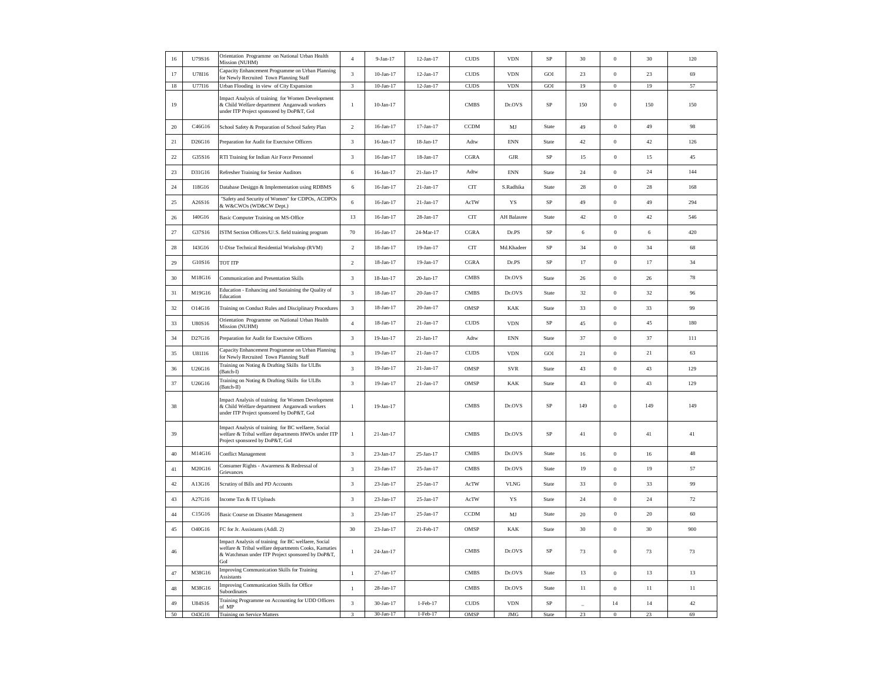| 16       | U79S16 | Orientation Programme on National Urban Health<br>Mission (NUHM)                                                                                                       | $\overline{4}$ | $9-Jan-17$      | 12-Jan-17       | <b>CUDS</b> | <b>VDN</b>                      | SP           | 30          | $\,0\,$          | 30          | 120 |
|----------|--------|------------------------------------------------------------------------------------------------------------------------------------------------------------------------|----------------|-----------------|-----------------|-------------|---------------------------------|--------------|-------------|------------------|-------------|-----|
| $17\,$   | U78I16 | Capacity Enhancement Programme on Urban Planning<br>for Newly Recruited Town Planning Staff                                                                            | $\sqrt{3}$     | $10-Jan-17$     | $12-Jan-17$     | CUDS        | <b>VDN</b>                      | GOI          | 23          | $\,0\,$          | 23          | 69  |
| 18       | U77I16 | Urban Flooding in view of City Expansion                                                                                                                               | $\mathbf{3}$   | $10$ -Jan- $17$ | $12$ -Jan-17    | <b>CUDS</b> | <b>VDN</b>                      | GOI          | 19          | $\boldsymbol{0}$ | 19          | 57  |
| 19       |        | Impact Analysis of training for Women Development<br>& Child Welfare department Anganwadi workers<br>under ITP Project sponsored by DoP&T, GoI                         | $\mathbf{1}$   | $10-Jan-17$     |                 | <b>CMBS</b> | Dr.OVS                          | SP           | 150         | $\Omega$         | 150         | 150 |
| $20\,$   | C46G16 | School Safety & Preparation of School Safety Plan                                                                                                                      | $\overline{c}$ | 16-Jan-17       | $17$ -Jan- $17$ | <b>CCDM</b> | MJ                              | State        | 49          | $\boldsymbol{0}$ | $49\,$      | 98  |
| $21\,$   | D26G16 | Preparation for Audit for Exectuive Officers                                                                                                                           | 3              | 16-Jan-17       | 18-Jan-17       | Adtw        | $\mathop{\rm ENN}\nolimits$     | State        | $42\,$      | $\,0\,$          | 42          | 126 |
| $22\,$   | G35S16 | RTI Training for Indian Air Force Personnel                                                                                                                            | $\sqrt{3}$     | 16-Jan-17       | 18-Jan-17       | CGRA        | <b>GJR</b>                      | SP           | 15          | $\boldsymbol{0}$ | 15          | 45  |
| $23\,$   | D31G16 | Refresher Training for Senior Auditors                                                                                                                                 | 6              | 16-Jan-17       | 21-Jan-17       | Adtw        | <b>ENN</b>                      | State        | 24          | $\boldsymbol{0}$ | 24          | 144 |
| 24       | I18G16 | Database Desiggn & Implementation using RDBMS                                                                                                                          | 6              | 16-Jan-17       | 21-Jan-17       | <b>CIT</b>  | S.Radhika                       | State        | 28          | $\boldsymbol{0}$ | 28          | 168 |
| $25\,$   | A26S16 | 'Safety and Security of Women" for CDPOs, ACDPOs<br>& W&CWOs (WD&CW Dept.)                                                                                             | 6              | 16-Jan-17       | 21-Jan-17       | AcTW        | YS                              | SP           | 49          | $\mathbf{0}$     | 49          | 294 |
| 26       | I40G16 | Basic Computer Training on MS-Office                                                                                                                                   | 13             | 16-Jan-17       | 28-Jan-17       | <b>CIT</b>  | AH Balasree                     | State        | 42          | $\boldsymbol{0}$ | 42          | 546 |
| 27       | G37S16 | ISTM Section Officers/U/.S. field training program                                                                                                                     | 70             | $16$ -Jan- $17$ | 24-Mar-17       | CGRA        | Dr.PS                           | <b>SP</b>    | $\,$ 6 $\,$ | $\Omega$         | $\,$ 6 $\,$ | 420 |
| 28       | I43G16 | U-Dise Technical Residential Workshop (RVM)                                                                                                                            | $\overline{c}$ | $18$ -Jan- $17$ | 19-Jan-17       | <b>CIT</b>  | Md.Khadeer                      | SP           | 34          | $\,0\,$          | 34          | 68  |
| 29       | G10S16 | <b>TOT ITP</b>                                                                                                                                                         | $\sqrt{2}$     | $18$ -Jan- $17$ | $19-Jan-17$     | <b>CGRA</b> | Dr.PS                           | SP           | 17          | $\boldsymbol{0}$ | 17          | 34  |
| 30       | M18G16 | Communication and Presentation Skills                                                                                                                                  | 3              | $18$ -Jan- $17$ | $20-Jan-17$     | <b>CMBS</b> | Dr.OVS                          | State        | 26          | $\mathbf{0}$     | 26          | 78  |
| 31       | M19G16 | Education - Enhancing and Sustaining the Quality of<br>Education                                                                                                       | 3              | $18$ -Jan- $17$ | $20$ -Jan-17    | <b>CMBS</b> | Dr.OVS                          | State        | 32          | $\boldsymbol{0}$ | 32          | 96  |
| 32       | O14G16 | Training on Conduct Rules and Disciplinary Procedures                                                                                                                  | $\mathbf{3}$   | $18$ -Jan- $17$ | $20-Ian-17$     | <b>OMSP</b> | <b>KAK</b>                      | State        | 33          | $\theta$         | 33          | 99  |
| 33       | U80S16 | Orientation Programme on National Urban Health<br>Mission (NUHM)                                                                                                       | $\sqrt{4}$     | 18-Jan-17       | 21-Jan-17       | $\rm CUDS$  | <b>VDN</b>                      | SP           | 45          | $\mathbf{0}$     | $45\,$      | 180 |
| 34       | D27G16 | Preparation for Audit for Exectuive Officers                                                                                                                           | 3              | $19-Jan-17$     | $21-Jan-17$     | Adtw        | $\mathop{\rm ENN}\nolimits$     | State        | 37          | $\boldsymbol{0}$ | 37          | 111 |
| 35       | U81I16 | Capacity Enhancement Programme on Urban Planning<br>or Newly Recruited Town Planning Staff                                                                             | 3              | 19-Jan-17       | $21-Jan-17$     | $\rm CUDS$  | <b>VDN</b>                      | $_{\rm GOI}$ | 21          | $\,0\,$          | 21          | 63  |
| 36       | U26G16 | Training on Noting & Drafting Skills for ULBs<br>Batch-I)                                                                                                              | 3              | 19-Jan-17       | 21-Jan-17       | OMSP        | SVR                             | State        | 43          | $\mathbf{0}$     | 43          | 129 |
| 37       | U26G16 | Training on Noting & Drafting Skills for ULBs<br>(Batch-II)                                                                                                            | $\sqrt{3}$     | 19-Jan-17       | 21-Jan-17       | OMSP        | KAK                             | State        | 43          | $\,0\,$          | 43          | 129 |
| 38       |        | Impact Analysis of training for Women Development<br>& Child Welfare department Anganwadi workers<br>under ITP Project sponsored by DoP&T, GoI                         | $\mathbf{1}$   | 19-Jan-17       |                 | <b>CMBS</b> | Dr.OVS                          | SP           | 149         | $\,0\,$          | 149         | 149 |
| 39       |        | Impact Analysis of training for BC welfaere, Social<br>welfare & Tribal welfare departments HWOs under ITP<br>Project sponsored by DoP&T, GoI                          | $\mathbf{1}$   | 21-Jan-17       |                 | <b>CMBS</b> | Dr.OVS                          | SP           | 41          | $\Omega$         | 41          | 41  |
| $40\,$   | M14G16 | <b>Conflict Management</b>                                                                                                                                             | 3              | 23-Jan-17       | 25-Jan-17       | <b>CMBS</b> | Dr.OVS                          | State        | 16          | $\mathbf{0}$     | 16          | 48  |
| 41       | M20G16 | Consumer Rights - Awareness & Redressal of<br>Grievances                                                                                                               | 3              | 23-Jan-17       | 25-Jan-17       | <b>CMBS</b> | Dr.OVS                          | State        | 19          | $\,0\,$          | 19          | 57  |
| $42\,$   | A13G16 | Scrutiny of Bills and PD Accounts                                                                                                                                      | $\sqrt{3}$     | 23-Jan-17       | 25-Jan-17       | AcTW        | <b>VLNG</b>                     | State        | 33          | $\mathbf{0}$     | 33          | 99  |
| 43       | A27G16 | Income Tax & IT Uploads                                                                                                                                                | 3              | 23-Jan-17       | 25-Jan-17       | AcTW        | YS                              | State        | 24          | $\mathbf{0}$     | 24          | 72  |
| $44\,$   | C15G16 | <b>Basic Course on Disaster Management</b>                                                                                                                             | $\sqrt{3}$     | 23-Jan-17       | 25-Jan-17       | <b>CCDM</b> | MJ                              | State        | 20          | $\boldsymbol{0}$ | $20\,$      | 60  |
| 45       | O40G16 | FC for Jr. Assistants (Addl. 2)                                                                                                                                        | 30             | 23-Jan-17       | 21-Feb-17       | OMSP        | <b>KAK</b>                      | State        | 30          | $\mathbf{0}$     | 30          | 900 |
| 46       |        | Impact Analysis of training for BC welfaere, Social<br>welfare & Tribal welfare departments Cooks, Kamaties<br>& Watchman under ITP Project sponsored by DoP&T,<br>GoI | $\mathbf{1}$   | 24-Jan-17       |                 | <b>CMBS</b> | Dr.OVS                          | SP           | 73          | $\boldsymbol{0}$ | 73          | 73  |
| 47       | M38G16 | Improving Communication Skills for Training<br>Assistants                                                                                                              | $\,1\,$        | 27-Jan-17       |                 | <b>CMBS</b> | Dr.OVS                          | State        | 13          | $\,0\,$          | 13          | 13  |
| $\rm 48$ | M38G16 | Improving Communication Skills for Office<br>Subordinates                                                                                                              | $\mathbf{1}$   | 28-Jan-17       |                 | <b>CMBS</b> | $\mathop{\rm Dr. OVS}\nolimits$ | State        | 11          | $\mathbf{0}$     | $11\,$      | 11  |
| 49       | U84S16 | Training Programme on Accounting for UDD Officers<br>of MP                                                                                                             | $\sqrt{3}$     | 30-Jan-17       | $1-Feb-17$      | <b>CUDS</b> | <b>VDN</b>                      | SP           |             | $14$             | 14          | 42  |
| 50       | O43G16 | <b>Training on Service Matters</b>                                                                                                                                     | $\overline{3}$ | 30-Jan-17       | $1-Feb-17$      | OMSP        | JMG                             | State        | 23          | $\overline{0}$   | 23          | 69  |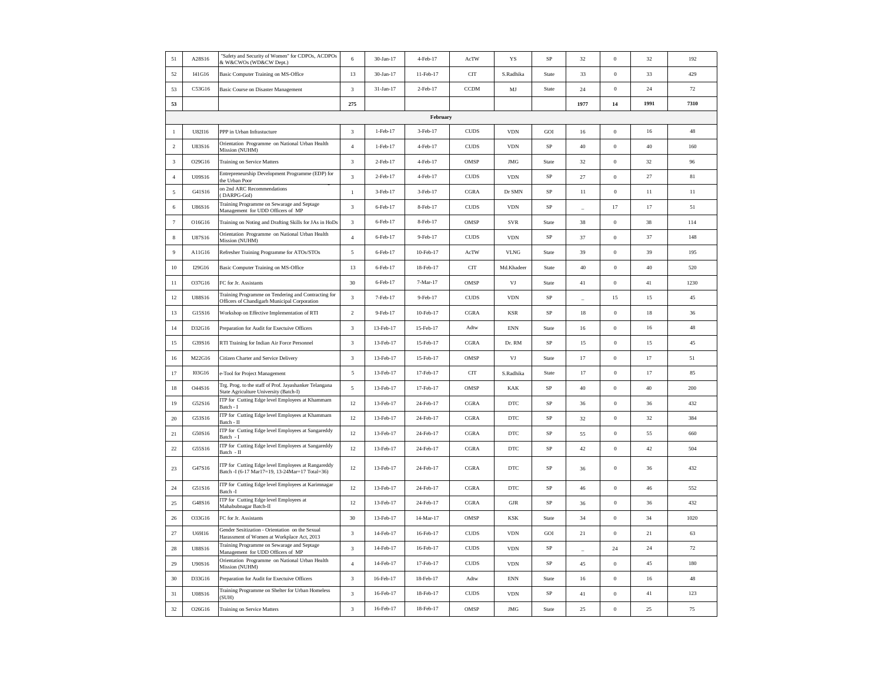| 51             | A28S16 | 'Safety and Security of Women" for CDPOs, ACDPOs<br>& W&CWOs (WD&CW Dept.)                           | 6              | 30-Jan-17 | 4-Feb-17  | AcTW          | YS                          | SP          | 32             | $\boldsymbol{0}$ | 32     | 192    |
|----------------|--------|------------------------------------------------------------------------------------------------------|----------------|-----------|-----------|---------------|-----------------------------|-------------|----------------|------------------|--------|--------|
| 52             | I41G16 | Basic Computer Training on MS-Office                                                                 | 13             | 30-Jan-17 | 11-Feb-17 | <b>CIT</b>    | S.Radhika                   | State       | 33             | $\Omega$         | 33     | 429    |
| 53             | C53G16 | Basic Course on Disaster Management                                                                  | 3              | 31-Jan-17 | 2-Feb-17  | <b>CCDM</b>   | MJ                          | State       | 24             | $\boldsymbol{0}$ | 24     | $72\,$ |
| 53             |        |                                                                                                      | 275            |           |           |               |                             |             | 1977           | 14               | 1991   | 7310   |
|                |        |                                                                                                      |                |           | February  |               |                             |             |                |                  |        |        |
| $\mathbf{1}$   | U82I16 | PPP in Urban Infrastucture                                                                           | 3              | 1-Feb-17  | 3-Feb-17  | <b>CUDS</b>   | <b>VDN</b>                  | GOI         | 16             | $\mathbf{0}$     | 16     | 48     |
| $\sqrt{2}$     | U83S16 | Orientation Programme on National Urban Health<br>Mission (NUHM)                                     | $\sqrt{4}$     | 1-Feb-17  | 4-Feb-17  | ${\rm CUDS}$  | <b>VDN</b>                  | SP          | 40             | $\boldsymbol{0}$ | 40     | 160    |
| $_{3}$         | O29G16 | Training on Service Matters                                                                          | $\sqrt{3}$     | 2-Feb-17  | 4-Feb-17  | OMSP          | $\mathbf{JMG}$              | State       | 32             | $\,0\,$          | $32\,$ | 96     |
| $\,$ 4 $\,$    | U09S16 | Entrepreneurship Development Programme (EDP) for<br>the Urban Poor                                   | 3              | 2-Feb-17  | 4-Feb-17  | $\rm CUDS$    | <b>VDN</b>                  | $\rm SP$    | $27\,$         | $\boldsymbol{0}$ | 27     | 81     |
| $\sqrt{5}$     | G41S16 | on 2nd ARC Recommendations<br>DARPG-GoI)                                                             | $\,1\,$        | 3-Feb-17  | 3-Feb-17  | CGRA          | Dr SMN                      | $\rm SP$    | 11             | $\,0\,$          | 11     | $11\,$ |
| 6              | U86S16 | Training Programme on Sewarage and Septage<br>Management for UDD Officers of MP                      | 3              | 6-Feb-17  | 8-Feb-17  | <b>CUDS</b>   | <b>VDN</b>                  | $\rm SP$    | $\overline{a}$ | $17\,$           | 17     | 51     |
| $\tau$         | O16G16 | Training on Noting and Drafting Skills for JAs in HoDs                                               | $\sqrt{3}$     | 6-Feb-17  | 8-Feb-17  | OMSP          | SVR                         | State       | 38             | $\,$ 0 $\,$      | 38     | 114    |
| $\,$ 8 $\,$    | U87S16 | Orientation Programme on National Urban Health<br>Mission (NUHM)                                     | $\overline{4}$ | 6-Feb-17  | 9-Feb-17  | ${\rm CUDS}$  | <b>VDN</b>                  | $\rm SP$    | 37             | $\theta$         | 37     | 148    |
| $\overline{9}$ | A11G16 | Refresher Training Programme for ATOs/STOs                                                           | 5              | 6-Feb-17  | 10-Feb-17 | AcTW          | <b>VLNG</b>                 | State       | 39             | $\,$ 0 $\,$      | 39     | 195    |
| $10\,$         | I29G16 | Basic Computer Training on MS-Office                                                                 | 13             | 6-Feb-17  | 18-Feb-17 | <b>CIT</b>    | Md.Khadeer                  | State       | 40             | $\,0\,$          | 40     | 520    |
| 11             | O37G16 | FC for Jr. Assistants                                                                                | 30             | 6-Feb-17  | 7-Mar-17  | OMSP          | VJ                          | State       | 41             | $\,$ 0 $\,$      | 41     | 1230   |
| 12             | U88S16 | Training Programme on Tendering and Contracting for<br>Officers of Chandigarh Municipal Corporation  | $\mathfrak z$  | 7-Feb-17  | 9-Feb-17  | $\rm CUDS$    | <b>VDN</b>                  | $_{\rm SP}$ | ٠              | 15               | 15     | $45\,$ |
| 13             | G15S16 | Workshop on Effective Implementation of RTI                                                          | $\overline{2}$ | 9-Feb-17  | 10-Feb-17 | CGRA          | <b>KSR</b>                  | SP          | $18\,$         | $\,0\,$          | 18     | 36     |
| 14             | D32G16 | Preparation for Audit for Exectuive Officers                                                         | $\sqrt{3}$     | 13-Feb-17 | 15-Feb-17 | Adtw          | $\mathop{\rm ENN}\nolimits$ | State       | $16\,$         | $\,0\,$          | $16$   | $48\,$ |
| 15             | G39S16 | RTI Training for Indian Air Force Personnel                                                          | 3              | 13-Feb-17 | 15-Feb-17 | CGRA          | Dr. RM                      | $\rm SP$    | 15             | $\mathbf{0}$     | 15     | $45\,$ |
| 16             | M22G16 | Citizen Charter and Service Delivery                                                                 | 3              | 13-Feb-17 | 15-Feb-17 | OMSP          | VJ                          | State       | 17             | $\,$ 0 $\,$      | 17     | 51     |
| 17             | I03G16 | e-Tool for Project Management                                                                        | $\sqrt{5}$     | 13-Feb-17 | 17-Feb-17 | <b>CIT</b>    | S.Radhika                   | State       | 17             | $\,0\,$          | 17     | 85     |
| 18             | O44S16 | Trg. Prog. to the staff of Prof. Jayashanker Telangana<br>State Agriculture University (Batch-I)     | 5              | 13-Feb-17 | 17-Feb-17 | OMSP          | <b>KAK</b>                  | $\rm SP$    | $40\,$         | $\mathbf{0}$     | $40\,$ | 200    |
| 19             | G52S16 | ITP for Cutting Edge level Employees at Khammam<br>Batch - I                                         | 12             | 13-Feb-17 | 24-Feb-17 | CGRA          | <b>DTC</b>                  | SP          | 36             | $\mathbf{0}$     | 36     | 432    |
| $20\,$         | G53S16 | ITP for Cutting Edge level Employees at Khammam<br>Batch - II                                        | 12             | 13-Feb-17 | 24-Feb-17 | $_{\rm CGRA}$ | $_{\rm DTC}$                | $_{\rm SP}$ | 32             | $\,0\,$          | $32\,$ | 384    |
| 21             | G50S16 | ITP for Cutting Edge level Employees at Sangareddy<br>Batch - I                                      | 12             | 13-Feb-17 | 24-Feb-17 | CGRA          | DTC                         | SP          | 55             | $\,0\,$          | 55     | 660    |
| $22\,$         | G55S16 | ITP for Cutting Edge level Employees at Sangareddy<br>Batch - II                                     | 12             | 13-Feb-17 | 24-Feb-17 | CGRA          | $_{\rm DTC}$                | SP          | $42\,$         | $\,0\,$          | $42\,$ | 504    |
| 23             | G47S16 | ITP for Cutting Edge level Employees at Rangareddy<br>Batch -I (6-17 Mar17=19, 13-24Mar=17 Total=36) | 12             | 13-Feb-17 | 24-Feb-17 | CGRA          | <b>DTC</b>                  | $\rm SP$    | 36             | $\mathbf{0}$     | 36     | 432    |
| 24             | G51S16 | ITP for Cutting Edge level Employees at Karimnagar<br>Batch -I                                       | 12             | 13-Feb-17 | 24-Feb-17 | CGRA          | <b>DTC</b>                  | $\rm SP$    | $46\,$         | $\boldsymbol{0}$ | 46     | 552    |
| 25             | G48S16 | TP for Cutting Edge level Employees at<br>Mahabubnagar Batch-II                                      | 12             | 13-Feb-17 | 24-Feb-17 | CGRA          | ${\rm GJR}$                 | $\rm SP$    | 36             | $\boldsymbol{0}$ | 36     | 432    |
| 26             | O33G16 | FC for Jr. Assistants                                                                                | 30             | 13-Feb-17 | 14-Mar-17 | OMSP          | <b>KSK</b>                  | State       | 34             | $\,$ 0 $\,$      | 34     | 1020   |
| 27             | U69I16 | Gender Sesitization - Orientation on the Sexual<br>Harassment of Women at Workplace Act, 2013        | $\mathfrak z$  | 14-Feb-17 | 16-Feb-17 | <b>CUDS</b>   | <b>VDN</b>                  | GOI         | 21             | $\,$ 0 $\,$      | 21     | 63     |
| 28             | U88S16 | Training Programme on Sewarage and Septage<br>Management for UDD Officers of MP                      | 3              | 14-Feb-17 | 16-Feb-17 | <b>CUDS</b>   | <b>VDN</b>                  | SP          | ۰              | 24               | 24     | 72     |
| 29             | U90S16 | Orientation Programme on National Urban Health<br>Mission (NUHM)                                     | $\overline{4}$ | 14-Feb-17 | 17-Feb-17 | <b>CUDS</b>   | <b>VDN</b>                  | SP          | 45             | $\mathbf{0}$     | 45     | 180    |
| 30             | D33G16 | Preparation for Audit for Exectuive Officers                                                         | $\mathbf{3}$   | 16-Feb-17 | 18-Feb-17 | Adtw          | <b>ENN</b>                  | State       | 16             | $\,$ 0 $\,$      | $16$   | $48\,$ |
| 31             | U08S16 | Training Programme on Shelter for Urban Homeless<br><b>SUH)</b>                                      | 3              | 16-Feb-17 | 18-Feb-17 | $\rm CUDS$    | <b>VDN</b>                  | $\rm SP$    | 41             | $\boldsymbol{0}$ | $41\,$ | 123    |
| 32             | O26G16 | Training on Service Matters                                                                          | $\mathbf{3}$   | 16-Feb-17 | 18-Feb-17 | OMSP          | $\mathbf{JMG}$              | State       | 25             | $\boldsymbol{0}$ | $25\,$ | 75     |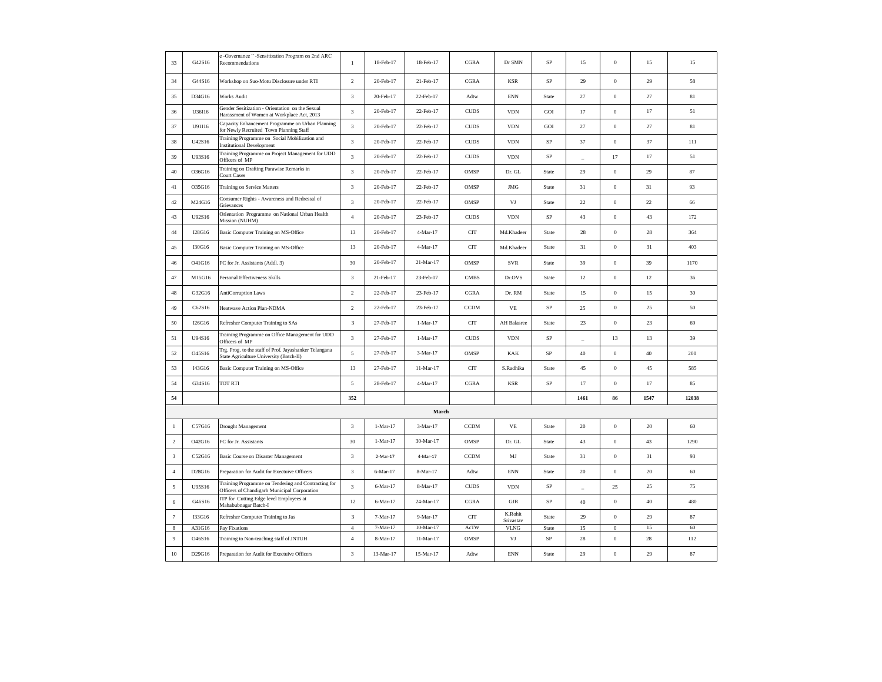| 33               | G42S16 | e -Governance " -Sensitization Program on 2nd ARC<br>Recommendations                                | $\mathbf{1}$   | 18-Feb-17  | 18-Feb-17   | CGRA        | Dr SMN                         | SP          | 15                       | $\Omega$         | 15          | 15    |
|------------------|--------|-----------------------------------------------------------------------------------------------------|----------------|------------|-------------|-------------|--------------------------------|-------------|--------------------------|------------------|-------------|-------|
| 34               | G44S16 | Workshop on Suo-Motu Disclosure under RTI                                                           | $\overline{2}$ | 20-Feb-17  | 21-Feb-17   | CGRA        | <b>KSR</b>                     | SP          | 29                       | $\,0\,$          | 29          | 58    |
| 35               | D34G16 | <b>Works Audit</b>                                                                                  | $\mathbf{3}$   | 20-Feb-17  | 22-Feb-17   | Adtw        | <b>ENN</b>                     | State       | 27                       | $\boldsymbol{0}$ | 27          | 81    |
| 36               | U36I16 | Gender Sesitization - Orientation on the Sexual<br>Harassment of Women at Workplace Act, 2013       | $\mathbf{3}$   | 20-Feb-17  | 22-Feb-17   | <b>CUDS</b> | <b>VDN</b>                     | GOI         | 17                       | $\,0\,$          | 17          | 51    |
| 37               | U91I16 | Capacity Enhancement Programme on Urban Planning<br>for Newly Recruited Town Planning Staff         | $\mathbf{3}$   | 20-Feb-17  | 22-Feb-17   | <b>CUDS</b> | <b>VDN</b>                     | GOI         | 27                       | $\,$ 0 $\,$      | 27          | 81    |
| 38               | U42S16 | Training Programme on Social Mobilization and<br><b>Institutional Development</b>                   | $\mathbf{3}$   | 20-Feb-17  | 22-Feb-17   | <b>CUDS</b> | <b>VDN</b>                     | SP          | 37                       | $\boldsymbol{0}$ | 37          | 111   |
| 39               | U93S16 | Training Programme on Project Management for UDD<br>Officers of MP                                  | $\mathbf{3}$   | 20-Feb-17  | 22-Feb-17   | <b>CUDS</b> | <b>VDN</b>                     | SP          |                          | 17               | 17          | 51    |
| $40\,$           | O36G16 | Training on Drafting Parawise Remarks in<br><b>Court Cases</b>                                      | $\mathbf{3}$   | 20-Feb-17  | 22-Feb-17   | OMSP        | $\mathop{\rm Dr}\nolimits.$ GL | State       | 29                       | $\boldsymbol{0}$ | 29          | 87    |
| 41               | O35G16 | Training on Service Matters                                                                         | $\overline{3}$ | 20-Feb-17  | 22-Feb-17   | OMSP        | <b>JMG</b>                     | State       | 31                       | $\mathbf{0}$     | 31          | 93    |
| 42               | M24G16 | Consumer Rights - Awareness and Redressal of<br>Grievances                                          | $\mathbf{3}$   | 20-Feb-17  | 22-Feb-17   | OMSP        | VJ                             | State       | 22                       | $\,0\,$          | 22          | 66    |
| 43               | U92S16 | Orientation Programme on National Urban Health<br>Mission (NUHM)                                    | $\overline{4}$ | 20-Feb-17  | 23-Feb-17   | <b>CUDS</b> | <b>VDN</b>                     | SP          | 43                       | $\boldsymbol{0}$ | 43          | 172   |
| $44\,$           | I28G16 | Basic Computer Training on MS-Office                                                                | 13             | 20-Feb-17  | 4-Mar-17    | <b>CIT</b>  | Md.Khadeer                     | State       | $\sqrt{28}$              | $\,0\,$          | $\sqrt{28}$ | 364   |
| 45               | I30G16 | Basic Computer Training on MS-Office                                                                | 13             | 20-Feb-17  | 4-Mar-17    | <b>CIT</b>  | Md.Khadeer                     | State       | 31                       | $\mathbf{0}$     | 31          | 403   |
| 46               | O41G16 | FC for Jr. Assistants (Addl. 3)                                                                     | 30             | 20-Feb-17  | 21-Mar-17   | OMSP        | <b>SVR</b>                     | State       | 39                       | $\boldsymbol{0}$ | 39          | 1170  |
| 47               | M15G16 | Personal Effectiveness Skills                                                                       | $\overline{3}$ | 21-Feb-17  | 23-Feb-17   | <b>CMBS</b> | Dr.OVS                         | State       | 12                       | $\mathbf{0}$     | 12          | 36    |
| 48               | G32G16 | AntiCorruption Laws                                                                                 | $\overline{2}$ | 22-Feb-17  | 23-Feb-17   | CGRA        | Dr. RM                         | State       | 15                       | $\,0\,$          | 15          | 30    |
| 49               | C62S16 | Heatwave Action Plan-NDMA                                                                           | $\overline{c}$ | 22-Feb-17  | 23-Feb-17   | <b>CCDM</b> | VE                             | SP          | 25                       | $\theta$         | 25          | 50    |
| 50               | I26G16 | Refresher Computer Training to SAs                                                                  | $\mathbf{3}$   | 27-Feb-17  | $1-Mar-17$  | <b>CIT</b>  | AH Balasree                    | State       | 23                       | $\,0\,$          | 23          | 69    |
| 51               | U94S16 | Training Programme on Office Management for UDD<br>Officers of MP                                   | $\mathbf{3}$   | 27-Feb-17  | $1-Mar-17$  | <b>CUDS</b> | <b>VDN</b>                     | SP          | $\sim$                   | 13               | 13          | 39    |
| 52               | O45S16 | Trg. Prog. to the staff of Prof. Jayashanker Telangana<br>State Agriculture University (Batch-II)   | $\sqrt{5}$     | 27-Feb-17  | 3-Mar-17    | OMSP        | KAK                            | $_{\rm SP}$ | $40\,$                   | $\boldsymbol{0}$ | $40\,$      | 200   |
| 53               | I43G16 | Basic Computer Training on MS-Office                                                                | 13             | 27-Feb-17  | 11-Mar-17   | <b>CIT</b>  | S.Radhika                      | State       | 45                       | $\mathbf{0}$     | 45          | 585   |
| 54               | G34S16 | <b>TOT RTI</b>                                                                                      | 5              | 28-Feb-17  | 4-Mar-17    | CGRA        | <b>KSR</b>                     | SP          | 17                       | $\boldsymbol{0}$ | 17          | 85    |
| 54               |        |                                                                                                     | 352            |            |             |             |                                |             | 1461                     | 86               | 1547        | 12038 |
|                  |        |                                                                                                     |                |            | March       |             |                                |             |                          |                  |             |       |
| $\mathbf{1}$     | C57G16 | Drought Management                                                                                  | $\mathbf{3}$   | $1-Mar-17$ | 3-Mar-17    | <b>CCDM</b> | $\ensuremath{\mathsf{VE}}$     | State       | 20                       | $\mathbf{0}$     | 20          | 60    |
| $\mathbf 2$      | O42G16 | FC for Jr. Assistants                                                                               | 30             | $1-Mar-17$ | 30-Mar-17   | OMSP        | Dr. GL                         | State       | 43                       | $\mathbf{0}$     | 43          | 1290  |
| $\sqrt{3}$       | C52G16 | Basic Course on Disaster Management                                                                 | $\overline{3}$ | 2-Mar-17   | 4-Mar-17    | <b>CCDM</b> | $\mathbf{M}\mathbf{J}$         | State       | 31                       | $\,0\,$          | 31          | 93    |
| $\sqrt{4}$       | D28G16 | Preparation for Audit for Exectuive Officers                                                        | $\mathbf{3}$   | 6-Mar-17   | 8-Mar-17    | Adtw        | <b>ENN</b>                     | State       | 20                       | $\,0\,$          | 20          | 60    |
| 5                | U95S16 | Training Programme on Tendering and Contracting for<br>Officers of Chandigarh Municipal Corporation | $\mathbf{3}$   | 6-Mar-17   | 8-Mar-17    | <b>CUDS</b> | <b>VDN</b>                     | SP          | $\overline{\phantom{0}}$ | 25               | 25          | 75    |
| $\sqrt{6}$       | G46S16 | ITP for Cutting Edge level Employees at<br>Mahabubnagar Batch-I                                     | 12             | 6-Mar-17   | 24-Mar-17   | CGRA        | ${\rm GJR}$                    | SP          | 40                       | $\,0\,$          | 40          | 480   |
| $\boldsymbol{7}$ | I33G16 | Refresher Computer Training to Jas                                                                  | $\sqrt{3}$     | 7-Mar-17   | 9-Mar-17    | <b>CIT</b>  | K.Rohit<br>Srivastav           | State       | 29                       | $\mathbf{0}$     | 29          | 87    |
| 8                | A31G16 | Pay Fixations                                                                                       | $\overline{4}$ | 7-Mar-17   | $10-Mar-17$ | AcTW        | <b>VLNG</b>                    | State       | 15                       | $\bf{0}$         | 15          | 60    |
| $\overline{9}$   | O46S16 | Training to Non-teaching staff of JNTUH                                                             | $\overline{4}$ | 8-Mar-17   | 11-Mar-17   | OMSP        | VJ                             | $_{\rm SP}$ | $\sqrt{28}$              | $\,0\,$          | $\sqrt{28}$ | 112   |
| $10\,$           | D29G16 | Preparation for Audit for Exectuive Officers                                                        | 3              | 13-Mar-17  | 15-Mar-17   | Adtw        | <b>ENN</b>                     | State       | 29                       | $\mathbf{0}$     | 29          | 87    |